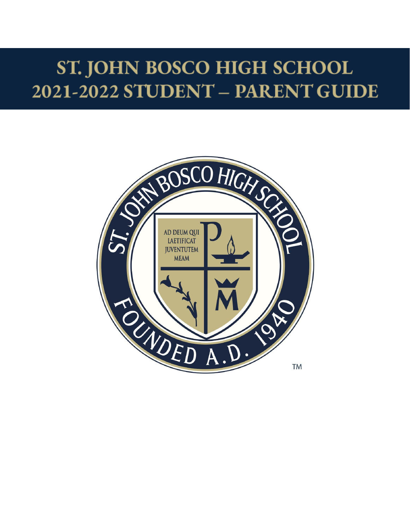# ST. JOHN BOSCO HIGH SCHOOL 2021-2022 STUDENT - PARENT GUIDE

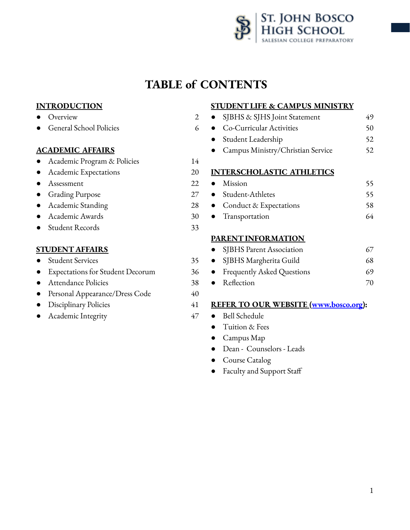

# **TABLE of CONTENTS**

# **INTRODUCTION**

- Overview 2
- General School Policies 6

#### **ACADEMIC AFFAIRS**

Academic Program & Policies 14

- Academic Expectations 20
- Assessment 22
- Grading Purpose 27
- Academic Standing 28
- Academic Awards 30
- Student Records 33

# **[STUDENT](#page-35-0) AFFAIRS**

#### ● Student Services 35

- **Expectations for Student Decorum 36**
- Attendance Policies 38
- Personal Appearance/Dress Code 40
- Disciplinary Policies 41
- Academic Integrity 47

#### **STUDENTLIFE & CAMPUS MINISTRY**

● SJBHS & SJHS Joint Statement 49 ● Co-Curricular Activities 50 ● Student Leadership 52 ● Campus Ministry/Christian Service 52 **[INTERSCHOLASTIC](#page-55-0) ATHLETICS** ● Mission 55 ● Student-Athletes 55 ● Conduct & Expectations 58 ● Transportation 64

#### **[PARENTINFORMATION](#page-67-0)**

- SJBHS Parent Association 67
- SJBHS Margherita Guild 68
- Frequently Asked Questions 69
- Reflection 70

#### **REFER TO OUR WEBSITE ([www.bosco.org\)](http://www.bosco.org):**

- Bell Schedule
	- Tuition & Fees
	- Campus Map
	- Dean Counselors Leads
- Course Catalog
- Faculty and Support Staff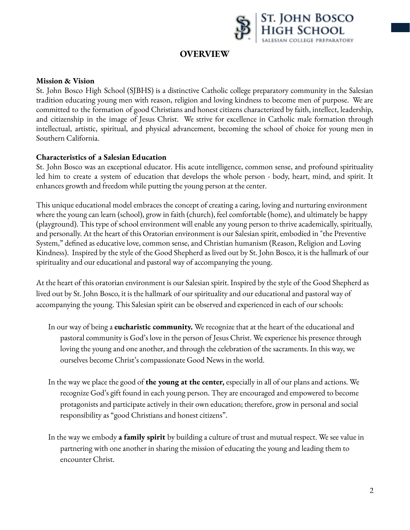

# **OVERVIEW**

#### **Mission & Vision**

St. John Bosco High School (SJBHS) is a distinctive Catholic college preparatory community in the Salesian tradition educating young men with reason, religion and loving kindness to become men of purpose. We are committed to the formation of good Christians and honest citizens characterized by faith, intellect, leadership, and citizenship in the image of Jesus Christ. We strive for excellence in Catholic male formation through intellectual, artistic, spiritual, and physical advancement, becoming the school of choice for young men in Southern California.

#### **Characteristics of a Salesian Education**

St. John Bosco was an exceptional educator. His acute intelligence, common sense, and profound spirituality led him to create a system of education that develops the whole person - body, heart, mind, and spirit. It enhances growth and freedom while putting the young person at the center.

This unique educational model embraces the concept of creating a caring, loving and nurturing environment where the young can learn (school), grow in faith (church), feel comfortable (home), and ultimately be happy (playground). This type of school environment will enable any young person to thrive academically, spiritually, and personally. At the heart of this Oratorian environment is our Salesian spirit, embodied in "the Preventive System," defined as educative love, common sense, and Christian humanism (Reason, Religion and Loving Kindness). Inspired by the style of the Good Shepherd as lived out by St. John Bosco, it is the hallmark of our spirituality and our educational and pastoral way of accompanying the young.

At the heart of this oratorian environment is our Salesian spirit. Inspired by the style of the Good Shepherd as lived out by St. John Bosco, it is the hallmark of our spirituality and our educational and pastoral way of accompanying the young. This Salesian spirit can be observed and experienced in each of our schools:

- In our way of being a **eucharistic community.** We recognize that at the heart of the educational and pastoral community is God's love in the person of Jesus Christ. We experience his presence through loving the young and one another, and through the celebration of the sacraments. In this way, we ourselves become Christ's compassionate Good News in the world.
- In the way we place the good of **the young at the center,** especially in all of our plans and actions. We recognize God's gift found in each young person. They are encouraged and empowered to become protagonists and participate actively in their own education; therefore, grow in personal and social responsibility as "good Christians and honest citizens".
- In the way we embody **a family spirit** by building a culture of trust and mutual respect. We see value in partnering with one another in sharing the mission of educating the young and leading them to encounter Christ.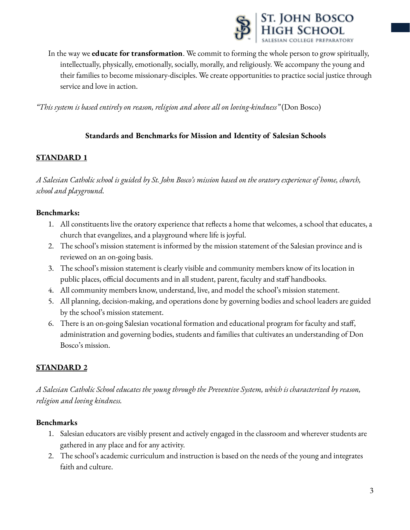

In the way we **educate for transformation**. We commit to forming the whole person to grow spiritually, intellectually, physically, emotionally, socially, morally, and religiously. We accompany the young and their families to become missionary-disciples. We create opportunities to practice social justice through service and love in action.

*"This system is based entirely on reason, religion and above all on loving-kindness"* (Don Bosco)

# **Standards and Benchmarks for Mission and Identity of Salesian Schools**

# **STANDARD 1**

A Salesian Catholic school is guided by St. John Bosco's mission based on the oratory experience of home, church, *school and playground.*

#### **Benchmarks:**

- 1. All constituents live the oratory experience that reflects a home that welcomes, a school that educates, a church that evangelizes, and a playground where life is joyful.
- 2. The school's mission statement is informed by the mission statement of the Salesian province and is reviewed on an on-going basis.
- 3. The school's mission statement is clearly visible and community members know of its location in public places, official documents and in all student, parent, faculty and staff handbooks.
- 4. All community members know, understand, live, and model the school's mission statement.
- 5. All planning, decision-making, and operations done by governing bodies and school leaders are guided by the school's mission statement.
- 6. There is an on-going Salesian vocational formation and educational program for faculty and staff, administration and governing bodies, students and families that cultivates an understanding of Don Bosco's mission.

# **STANDARD 2**

*A Salesian Catholic School educates the young through the Preventive System, which is characterized by reason, religion and loving kindness.*

#### **Benchmarks**

- 1. Salesian educators are visibly present and actively engaged in the classroom and wherever students are gathered in any place and for any activity.
- 2. The school's academic curriculum and instruction is based on the needs of the young and integrates faith and culture.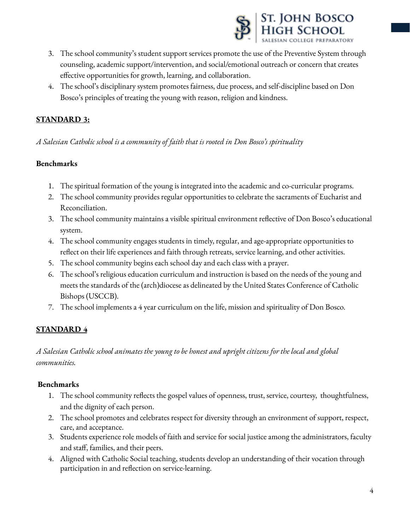

- 3. The school community's student support services promote the use of the Preventive System through counseling, academic support/intervention, and social/emotional outreach or concern that creates effective opportunities for growth, learning, and collaboration.
- 4. The school's disciplinary system promotes fairness, due process, and self-discipline based on Don Bosco's principles of treating the young with reason, religion and kindness.

# **STANDARD 3:**

*A Salesian Catholic school is a community of faith that is rooted in Don Bosco's spirituality*

# **Benchmarks**

- 1. The spiritual formation of the young is integrated into the academic and co-curricular programs.
- 2. The school community provides regular opportunities to celebrate the sacraments of Eucharist and Reconciliation.
- 3. The school community maintains a visible spiritual environment reflective of Don Bosco's educational system.
- 4. The school community engages students in timely, regular, and age-appropriate opportunities to reflect on their life experiences and faith through retreats, service learning, and other activities.
- 5. The school community begins each school day and each class with a prayer.
- 6. The school's religious education curriculum and instruction is based on the needs of the young and meets the standards of the (arch)diocese as delineated by the United States Conference of Catholic Bishops (USCCB).
- 7. The school implements a 4 year curriculum on the life, mission and spirituality of Don Bosco.

# **STANDARD 4**

# A Salesian Catholic school animates the young to be honest and upright citizens for the local and global *communities.*

#### **Benchmarks**

- 1. The school community reflects the gospel values of openness, trust, service, courtesy, thoughtfulness, and the dignity of each person.
- 2. The school promotes and celebrates respect for diversity through an environment of support, respect, care, and acceptance.
- 3. Students experience role models of faith and service for social justice among the administrators, faculty and staff, families, and their peers.
- 4. Aligned with Catholic Social teaching, students develop an understanding of their vocation through participation in and reflection on service-learning.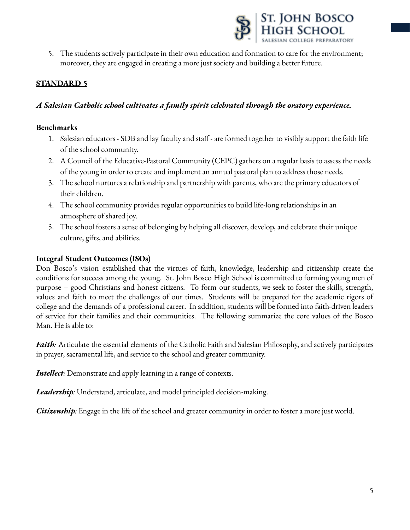

5. The students actively participate in their own education and formation to care for the environment; moreover, they are engaged in creating a more just society and building a better future.

# **STANDARD 5**

# *A Salesian Catholic school cultivates a family spirit celebrated through the oratory experience.*

#### **Benchmarks**

- 1. Salesian educators SDB and lay faculty and staff are formed together to visibly support the faith life of the school community.
- 2. A Council of the Educative-Pastoral Community (CEPC) gathers on a regular basis to assess the needs of the young in order to create and implement an annual pastoral plan to address those needs.
- 3. The school nurtures a relationship and partnership with parents, who are the primary educators of their children.
- 4. The school community provides regular opportunities to build life-long relationships in an atmosphere of shared joy.
- 5. The school fosters a sense of belonging by helping all discover, develop, and celebrate their unique culture, gifts, and abilities.

#### **Integral Student Outcomes (ISOs)**

Don Bosco's vision established that the virtues of faith, knowledge, leadership and citizenship create the conditions for success among the young. St. John Bosco High School is committed to forming young men of purpose – good Christians and honest citizens. To form our students, we seek to foster the skills, strength, values and faith to meet the challenges of our times. Students will be prepared for the academic rigors of college and the demands of a professional career. In addition, students will be formed into faith-driven leaders of service for their families and their communities. The following summarize the core values of the Bosco Man. He is able to:

*Faith:* Articulate the essential elements of the Catholic Faith and Salesian Philosophy, and actively participates in prayer, sacramental life, and service to the school and greater community.

*Intellect:* Demonstrate and apply learning in a range of contexts.

*Leadership:* Understand, articulate, and model principled decision-making.

*Citizenship:* Engage in the life of the school and greater community in order to foster a more just world.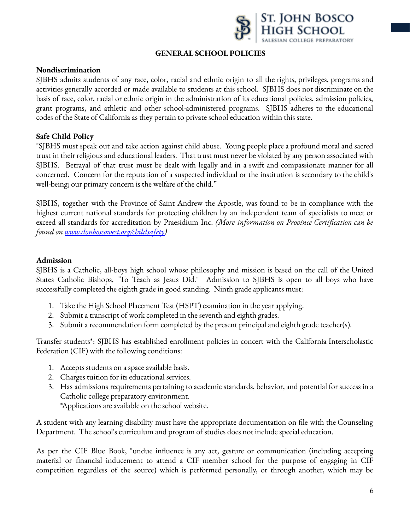

#### **GENERAL SCHOOL POLICIES**

#### **Nondiscrimination**

SJBHS admits students of any race, color, racial and ethnic origin to all the rights, privileges, programs and activities generally accorded or made available to students at this school. SJBHS does not discriminate on the basis of race, color, racial or ethnic origin in the administration of its educational policies, admission policies, grant programs, and athletic and other school-administered programs. SJBHS adheres to the educational codes of the State of California as they pertain to private school education within this state.

#### **Safe Child Policy**

"SJBHS must speak out and take action against child abuse. Young people place a profound moral and sacred trust in their religious and educational leaders. That trust must never be violated by any person associated with SJBHS. Betrayal of that trust must be dealt with legally and in a swift and compassionate manner for all concerned. Concern for the reputation of a suspected individual or the institution is secondary to the child's well-being; our primary concern is the welfare of the child."

SJBHS, together with the Province of Saint Andrew the Apostle, was found to be in compliance with the highest current national standards for protecting children by an independent team of specialists to meet or exceed all standards for accreditation by Praesidium Inc. *(More information on Province Certification can be found on [www.donboscowest.org/childsafety\)](http://www.donboscowest.org/childsafety)*

#### **Admission**

SJBHS is a Catholic, all-boys high school whose philosophy and mission is based on the call of the United States Catholic Bishops, "To Teach as Jesus Did." Admission to SJBHS is open to all boys who have successfully completed the eighth grade in good standing. Ninth grade applicants must:

- 1. Take the High School Placement Test (HSPT) examination in the year applying.
- 2. Submit a transcript of work completed in the seventh and eighth grades.
- 3. Submit a recommendation form completed by the present principal and eighth grade teacher(s).

Transfer students\*: SJBHS has established enrollment policies in concert with the California Interscholastic Federation (CIF) with the following conditions:

- 1. Accepts students on a space available basis.
- 2. Charges tuition for its educational services.
- 3. Has admissions requirements pertaining to academic standards, behavior, and potential for success in a Catholic college preparatory environment.

\*Applications are available on the school website.

A student with any learning disability must have the appropriate documentation on file with the Counseling Department. The school's curriculum and program of studies does not include special education.

As per the CIF Blue Book, "undue influence is any act, gesture or communication (including accepting material or financial inducement to attend a CIF member school for the purpose of engaging in CIF competition regardless of the source) which is performed personally, or through another, which may be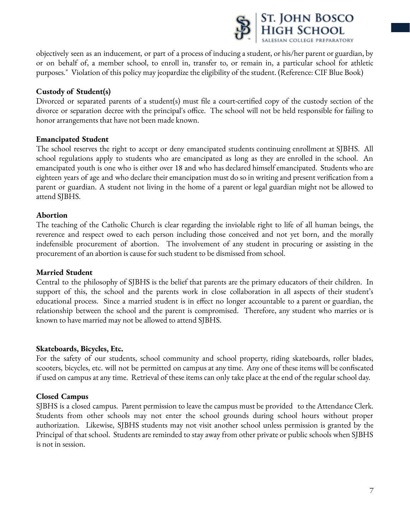

objectively seen as an inducement, or part of a process of inducing a student, or his/her parent or guardian, by or on behalf of, a member school, to enroll in, transfer to, or remain in, a particular school for athletic purposes." Violation of this policy may jeopardize the eligibility of the student. (Reference: CIF Blue Book)

# **Custody of Student(s)**

Divorced or separated parents of a student(s) must file a court-certified copy of the custody section of the divorce or separation decree with the principal's office. The school will not be held responsible for failing to honor arrangements that have not been made known.

#### **Emancipated Student**

The school reserves the right to accept or deny emancipated students continuing enrollment at SJBHS. All school regulations apply to students who are emancipated as long as they are enrolled in the school. An emancipated youth is one who is either over 18 and who has declared himself emancipated. Students who are eighteen years of age and who declare their emancipation must do so in writing and present verification from a parent or guardian. A student not living in the home of a parent or legal guardian might not be allowed to attend SJBHS.

#### **Abortion**

The teaching of the Catholic Church is clear regarding the inviolable right to life of all human beings, the reverence and respect owed to each person including those conceived and not yet born, and the morally indefensible procurement of abortion. The involvement of any student in procuring or assisting in the procurement of an abortion is cause for such student to be dismissed from school.

#### **Married Student**

Central to the philosophy of SJBHS is the belief that parents are the primary educators of their children. In support of this, the school and the parents work in close collaboration in all aspects of their student's educational process. Since a married student is in effect no longer accountable to a parent or guardian, the relationship between the school and the parent is compromised. Therefore, any student who marries or is known to have married may not be allowed to attend SJBHS.

#### **Skateboards, Bicycles, Etc.**

For the safety of our students, school community and school property, riding skateboards, roller blades, scooters, bicycles, etc. will not be permitted on campus at any time. Any one of these items will be confiscated if used on campus at any time. Retrieval of these items can only take place at the end of the regular school day.

#### **Closed Campus**

SJBHS is a closed campus. Parent permission to leave the campus must be provided to the Attendance Clerk. Students from other schools may not enter the school grounds during school hours without proper authorization. Likewise, SJBHS students may not visit another school unless permission is granted by the Principal of that school. Students are reminded to stay away from other private or public schools when SJBHS is not in session.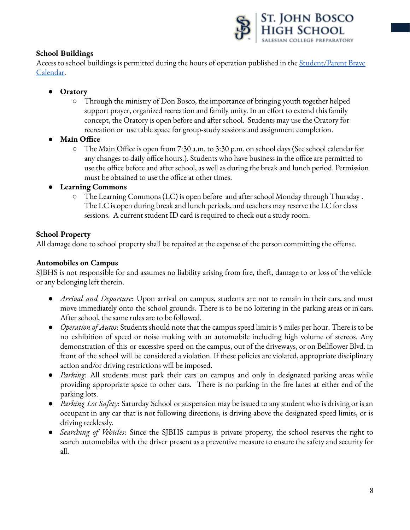

# **School Buildings**

Access to school buildings is permitted during the hours of operation published in the [Student/Parent](https://calendar.google.com/calendar?cid=Ym9zY28ub3JnXzMycm11ZGRoa29uMW1oMGw2bDQ1cmcydjZjQGdyb3VwLmNhbGVuZGFyLmdvb2dsZS5jb20) Brave [Calendar](https://calendar.google.com/calendar?cid=Ym9zY28ub3JnXzMycm11ZGRoa29uMW1oMGw2bDQ1cmcydjZjQGdyb3VwLmNhbGVuZGFyLmdvb2dsZS5jb20).

- **● Oratory**
	- **○** Through the ministry of Don Bosco, the importance of bringing youth together helped support prayer, organized recreation and family unity. In an effort to extend this family concept, the Oratory is open before and after school. Students may use the Oratory for recreation or use table space for group-study sessions and assignment completion.
- **● Main Office**
	- **○** The Main Office is open from 7:30 a.m. to 3:30 p.m. on school days (See school calendar for any changes to daily office hours.). Students who have business in the office are permitted to use the office before and after school, as well as during the break and lunch period. Permission must be obtained to use the office at other times.
- **● Learning Commons**
	- **○** The Learning Commons (LC) is open before and after school Monday through Thursday . The LC is open during break and lunch periods, and teachers may reserve the LC for class sessions. A current student ID card is required to check out a study room.

# **School Property**

All damage done to school property shall be repaired at the expense of the person committing the offense.

# **Automobiles on Campus**

SJBHS is not responsible for and assumes no liability arising from fire, theft, damage to or loss of the vehicle or any belonging left therein.

- *Arrival and Departure*: Upon arrival on campus, students are not to remain in their cars, and must move immediately onto the school grounds. There is to be no loitering in the parking areas or in cars. After school, the same rules are to be followed.
- *Operation of Autos*: Students should note that the campus speed limit is 5 miles per hour. There is to be no exhibition of speed or noise making with an automobile including high volume of stereos. Any demonstration of this or excessive speed on the campus, out of the driveways, or on Bellflower Blvd. in front of the school will be considered a violation. If these policies are violated, appropriate disciplinary action and/or driving restrictions will be imposed.
- *Parking*: All students must park their cars on campus and only in designated parking areas while providing appropriate space to other cars. There is no parking in the fire lanes at either end of the parking lots.
- *Parking Lot Safety*: Saturday School or suspension may be issued to any student who is driving or is an occupant in any car that is not following directions, is driving above the designated speed limits, or is driving recklessly*.*
- *Searching of Vehicles*: Since the SJBHS campus is private property, the school reserves the right to search automobiles with the driver present as a preventive measure to ensure the safety and security for all.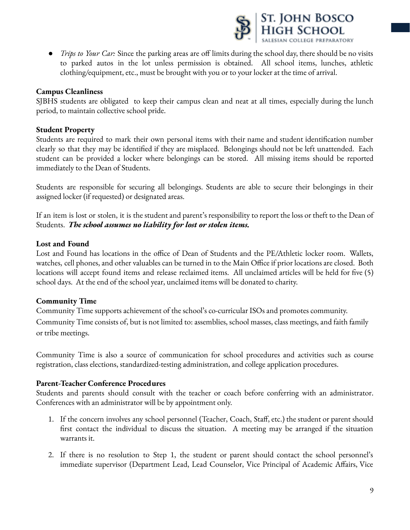

● *Trips to Your Car:* Since the parking areas are off limits during the school day, there should be no visits to parked autos in the lot unless permission is obtained. All school items, lunches, athletic clothing/equipment, etc., must be brought with you or to your locker at the time of arrival.

### **Campus Cleanliness**

SJBHS students are obligated to keep their campus clean and neat at all times, especially during the lunch period, to maintain collective school pride.

### **Student Property**

Students are required to mark their own personal items with their name and student identification number clearly so that they may be identified if they are misplaced. Belongings should not be left unattended. Each student can be provided a locker where belongings can be stored. All missing items should be reported immediately to the Dean of Students.

Students are responsible for securing all belongings. Students are able to secure their belongings in their assigned locker (if requested) or designated areas.

If an item is lost or stolen, it is the student and parent's responsibility to report the loss or theft to the Dean of Students. *The school assumes no liability for lost or stolen items.*

# **Lost and Found**

Lost and Found has locations in the office of Dean of Students and the PE/Athletic locker room. Wallets, watches, cell phones, and other valuables can be turned in to the Main Office if prior locations are closed. Both locations will accept found items and release reclaimed items. All unclaimed articles will be held for five (5) school days. At the end of the school year, unclaimed items will be donated to charity.

#### **Community Time**

Community Time supports achievement of the school's co-curricular ISOs and promotes community. Community Time consists of, but is not limited to: assemblies, school masses, class meetings, and faith family or tribe meetings.

Community Time is also a source of communication for school procedures and activities such as course registration, class elections, standardized-testing administration, and college application procedures.

#### **Parent-Teacher Conference Procedures**

Students and parents should consult with the teacher or coach before conferring with an administrator. Conferences with an administrator will be by appointment only.

- 1. If the concern involves any school personnel (Teacher, Coach, Staff, etc.) the student or parent should first contact the individual to discuss the situation. A meeting may be arranged if the situation warrants it.
- 2. If there is no resolution to Step 1, the student or parent should contact the school personnel's immediate supervisor (Department Lead, Lead Counselor, Vice Principal of Academic Affairs, Vice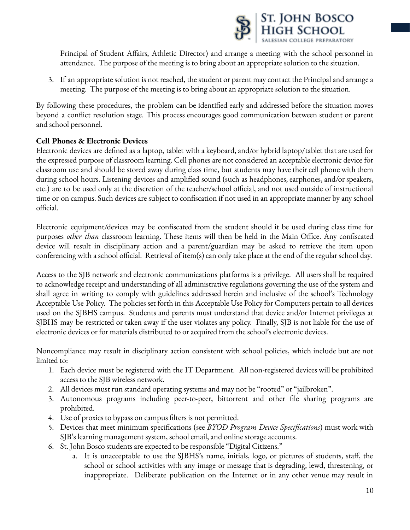

Principal of Student Affairs, Athletic Director) and arrange a meeting with the school personnel in attendance. The purpose of the meeting is to bring about an appropriate solution to the situation.

3. If an appropriate solution is not reached, the student or parent may contact the Principal and arrange a meeting. The purpose of the meeting is to bring about an appropriate solution to the situation.

By following these procedures, the problem can be identified early and addressed before the situation moves beyond a conflict resolution stage. This process encourages good communication between student or parent and school personnel.

# **Cell Phones & Electronic Devices**

Electronic devices are defined as a laptop, tablet with a keyboard, and/or hybrid laptop/tablet that are used for the expressed purpose of classroom learning. Cell phones are not considered an acceptable electronic device for classroom use and should be stored away during class time, but students may have their cell phone with them during school hours. Listening devices and amplified sound (such as headphones, earphones, and/or speakers, etc.) are to be used only at the discretion of the teacher/school official, and not used outside of instructional time or on campus. Such devices are subject to confiscation if not used in an appropriate manner by any school official.

Electronic equipment/devices may be confiscated from the student should it be used during class time for purposes *other than* classroom learning. These items will then be held in the Main Office. Any confiscated device will result in disciplinary action and a parent/guardian may be asked to retrieve the item upon conferencing with a school official. Retrieval of item(s) can only take place at the end of the regular school day.

Access to the SJB network and electronic communications platforms is a privilege. All users shall be required to acknowledge receipt and understanding of all administrative regulations governing the use of the system and shall agree in writing to comply with guidelines addressed herein and inclusive of the school's Technology Acceptable Use Policy. The policies set forth in this Acceptable Use Policy for Computers pertain to all devices used on the SJBHS campus. Students and parents must understand that device and/or Internet privileges at SJBHS may be restricted or taken away if the user violates any policy. Finally, SJB is not liable for the use of electronic devices or for materials distributed to or acquired from the school's electronic devices.

Noncompliance may result in disciplinary action consistent with school policies, which include but are not limited to:

- 1. Each device must be registered with the IT Department. All non-registered devices will be prohibited access to the SJB wireless network.
- 2. All devices must run standard operating systems and may not be "rooted" or "jailbroken".
- 3. Autonomous programs including peer-to-peer, bittorrent and other file sharing programs are prohibited.
- 4. Use of proxies to bypass on campus filters is not permitted.
- 5. Devices that meet minimum specifications (see *BYOD Program Device Specifications*) must work with SJB's learning management system, school email, and online storage accounts.
- 6. St. John Bosco students are expected to be responsible "Digital Citizens."
	- a. It is unacceptable to use the SJBHS's name, initials, logo, or pictures of students, staff, the school or school activities with any image or message that is degrading, lewd, threatening, or inappropriate. Deliberate publication on the Internet or in any other venue may result in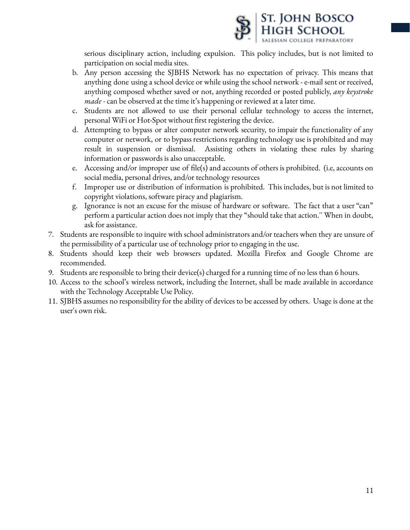

serious disciplinary action, including expulsion. This policy includes, but is not limited to participation on social media sites.

- b. Any person accessing the SJBHS Network has no expectation of privacy. This means that anything done using a school device or while using the school network - e-mail sent or received, anything composed whether saved or not, anything recorded or posted publicly, *any keystroke made -* can be observed at the time it's happening or reviewed at a later time.
- c. Students are not allowed to use their personal cellular technology to access the internet, personal WiFi or Hot-Spot without first registering the device.
- d. Attempting to bypass or alter computer network security, to impair the functionality of any computer or network, or to bypass restrictions regarding technology use is prohibited and may result in suspension or dismissal. Assisting others in violating these rules by sharing information or passwords is also unacceptable.
- e. Accessing and/or improper use of file(s) and accounts of others is prohibited. (i.e, accounts on social media, personal drives, and/or technology resources
- f. Improper use or distribution of information is prohibited. This includes, but is not limited to copyright violations, software piracy and plagiarism.
- g. Ignorance is not an excuse for the misuse of hardware or software. The fact that a user "can" perform a particular action does not imply that they "should take that action.'' When in doubt, ask for assistance.
- 7. Students are responsible to inquire with school administrators and/or teachers when they are unsure of the permissibility of a particular use of technology prior to engaging in the use.
- 8. Students should keep their web browsers updated. Mozilla Firefox and Google Chrome are recommended.
- 9. Students are responsible to bring their device(s) charged for a running time of no less than 6 hours.
- 10. Access to the school's wireless network, including the Internet, shall be made available in accordance with the Technology Acceptable Use Policy.
- 11. SJBHS assumes no responsibility for the ability of devices to be accessed by others. Usage is done at the user's own risk.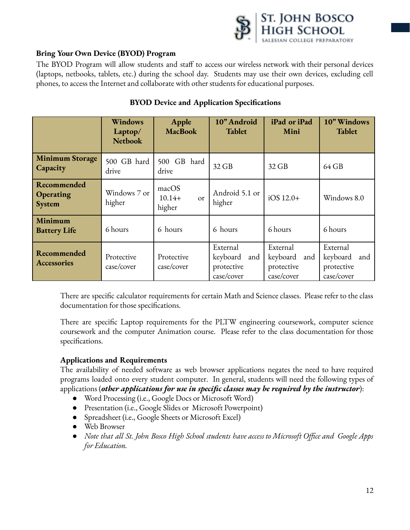

# **Bring Your Own Device (BYOD) Program**

The BYOD Program will allow students and staff to access our wireless network with their personal devices (laptops, netbooks, tablets, etc.) during the school day. Students may use their own devices, excluding cell phones, to access the Internet and collaborate with other students for educational purposes.

|                                                  | Windows<br>Laptop/<br><b>Netbook</b> | Apple<br><b>MacBook</b>                 | 10" Android<br>Tablet                                   | iPad or iPad<br>Mini                                    | 10" Windows<br>Tablet                                   |
|--------------------------------------------------|--------------------------------------|-----------------------------------------|---------------------------------------------------------|---------------------------------------------------------|---------------------------------------------------------|
| <b>Minimum Storage</b><br><b>Capacity</b>        | 500 GB hard<br>drive                 | 500 GB hard<br>drive                    | 32 GB                                                   | 32 GB                                                   | 64 GB                                                   |
| <b>Recommended</b><br><b>Operating</b><br>System | Windows 7 or<br>higher               | macOS<br>$10.14+$<br>$\alpha$<br>higher | Android 5.1 or<br>higher                                | $iOS 12.0+$                                             | Windows 8.0                                             |
| Minimum<br><b>Battery Life</b>                   | 6 hours                              | 6 hours                                 | 6 hours                                                 | 6 hours                                                 | 6 hours                                                 |
| Recommended<br>Accessories                       | Protective<br>case/cover             | Protective<br>case/cover                | External<br>keyboard<br>and<br>protective<br>case/cover | External<br>keyboard<br>and<br>protective<br>case/cover | External<br>keyboard<br>and<br>protective<br>case/cover |

# **BYOD Device and Application Specifications**

There are specific calculator requirements for certain Math and Science classes. Please refer to the class documentation for those specifications.

There are specific Laptop requirements for the PLTW engineering coursework, computer science coursework and the computer Animation course. Please refer to the class documentation for those specifications.

#### **Applications and Requirements**

The availability of needed software as web browser applications negates the need to have required programs loaded onto every student computer. In general, students will need the following types of applications (*other applications for use in specific classes may be required by the instructor*):

- Word Processing (i.e., Google Docs or Microsoft Word)
- Presentation (i.e., Google Slides or Microsoft Powerpoint)
- Spreadsheet (i.e., Google Sheets or Microsoft Excel)
- Web Browser
- *Note that all St. John Bosco High School students have access to Microsoft Office and Google Apps for Education.*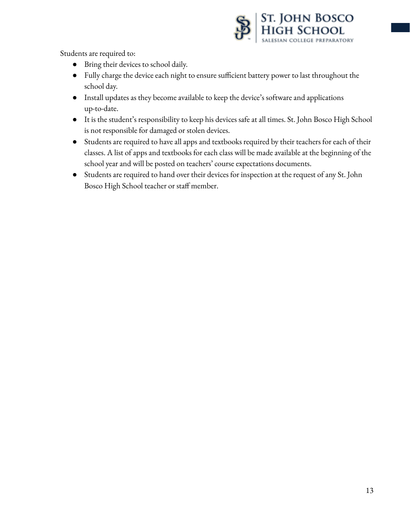

Students are required to:

- Bring their devices to school daily.
- Fully charge the device each night to ensure sufficient battery power to last throughout the school day.
- Install updates as they become available to keep the device's software and applications up-to-date.
- It is the student's responsibility to keep his devices safe at all times. St. John Bosco High School is not responsible for damaged or stolen devices.
- Students are required to have all apps and textbooks required by their teachers for each of their classes. A list of apps and textbooks for each class will be made available at the beginning of the school year and will be posted on teachers' course expectations documents.
- Students are required to hand over their devices for inspection at the request of any St. John Bosco High School teacher or staff member.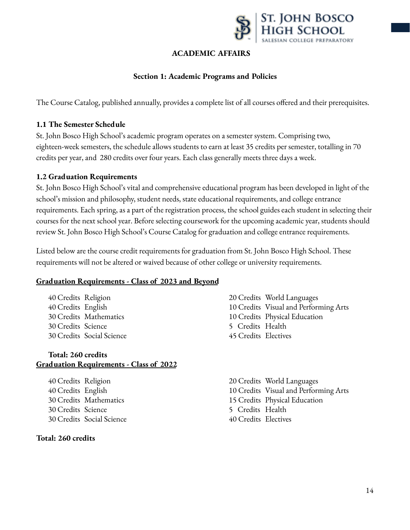

# **ACADEMIC AFFAIRS**

#### **Section 1: Academic Programs and Policies**

The Course Catalog, published annually, provides a complete list of all courses offered and their prerequisites.

#### **1.1 The Semester Schedule**

St. John Bosco High School's academic program operates on a semester system. Comprising two, eighteen-week semesters, the schedule allows students to earn at least 35 credits per semester, totalling in 70 credits per year, and 280 credits over four years. Each class generally meets three days a week.

#### **1.2 Graduation Requirements**

St. John Bosco High School's vital and comprehensive educational program has been developed in light of the school's mission and philosophy, student needs, state educational requirements, and college entrance requirements. Each spring, as a part of the registration process, the school guides each student in selecting their courses for the next school year. Before selecting coursework for the upcoming academic year, students should review St. John Bosco High School's Course Catalog for graduation and college entrance requirements.

Listed below are the course credit requirements for graduation from St. John Bosco High School. These requirements will not be altered or waived because of other college or university requirements.

#### **Graduation Requirements - Class of 2023 and Beyond**

 Credits Religion Credits English Credits Mathematics Credits Science Credits Social Science

#### **Total: 260 credits Graduation Requirements - Class of 2022**

 Credits Religion Credits English Credits Mathematics Credits Science Credits Social Science

#### **Total: 260 credits**

- 20 Credits World Languages 10 Credits Visual and Performing Arts 10 Credits Physical Education 5 Credits Health 45 Credits Electives
- 20 Credits World Languages 10 Credits Visual and Performing Arts 15 Credits Physical Education 5 Credits Health 40 Credits Electives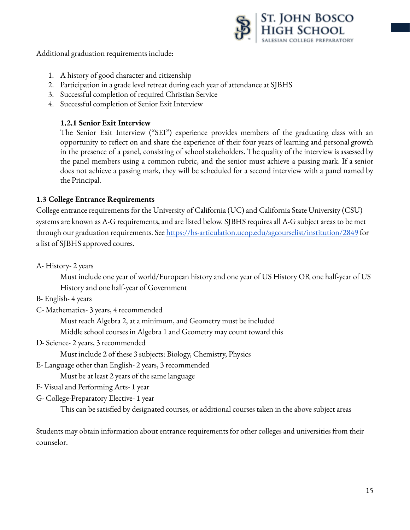

Additional graduation requirements include:

- 1. A history of good character and citizenship
- 2. Participation in a grade level retreat during each year of attendance at SJBHS
- 3. Successful completion of required Christian Service
- 4. Successful completion of Senior Exit Interview

# **1.2.1 Senior Exit Interview**

The Senior Exit Interview ("SEI") experience provides members of the graduating class with an opportunity to reflect on and share the experience of their four years of learning and personal growth in the presence of a panel, consisting of school stakeholders. The quality of the interview is assessed by the panel members using a common rubric, and the senior must achieve a passing mark. If a senior does not achieve a passing mark, they will be scheduled for a second interview with a panel named by the Principal.

# **1.3 College Entrance Requirements**

College entrance requirements for the University of California (UC) and California State University (CSU) systems are known as A-G requirements, and are listed below. SJBHS requires all A-G subject areas to be met through our graduation requirements. See <https://hs-articulation.ucop.edu/agcourselist/institution/2849> for a list of SJBHS approved coures.

A- History- 2 years

Must include one year of world/European history and one year of US History OR one half-year of US History and one half-year of Government

- B- English- 4 years
- C- Mathematics- 3 years, 4 recommended

Must reach Algebra 2, at a minimum, and Geometry must be included

Middle school courses in Algebra 1 and Geometry may count toward this

D- Science- 2 years, 3 recommended

Must include 2 of these 3 subjects: Biology, Chemistry, Physics

E- Language other than English- 2 years, 3 recommended

Must be at least 2 years of the same language

- F- Visual and Performing Arts- 1 year
- G- College-Preparatory Elective- 1 year

This can be satisfied by designated courses, or additional courses taken in the above subject areas

Students may obtain information about entrance requirements for other colleges and universities from their counselor.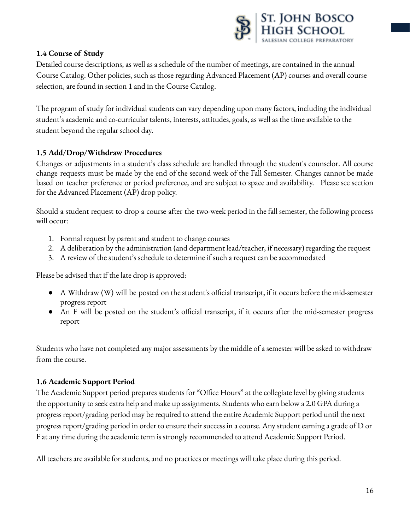

# **1.4 Course of Study**

Detailed course descriptions, as well as a schedule of the number of meetings, are contained in the annual Course Catalog. Other policies, such as those regarding Advanced Placement (AP) courses and overall course selection, are found in section 1 and in the Course Catalog.

The program of study for individual students can vary depending upon many factors, including the individual student's academic and co-curricular talents, interests, attitudes, goals, as well as the time available to the student beyond the regular school day.

# **1.5 Add/Drop/Withdraw Procedures**

Changes or adjustments in a student's class schedule are handled through the student's counselor. All course change requests must be made by the end of the second week of the Fall Semester. Changes cannot be made based on teacher preference or period preference, and are subject to space and availability. Please see section for the Advanced Placement (AP) drop policy.

Should a student request to drop a course after the two-week period in the fall semester, the following process will occur:

- 1. Formal request by parent and student to change courses
- 2. A deliberation by the administration (and department lead/teacher, if necessary) regarding the request
- 3. A review of the student's schedule to determine if such a request can be accommodated

Please be advised that if the late drop is approved:

- A Withdraw (W) will be posted on the student's official transcript, if it occurs before the mid-semester progress report
- An F will be posted on the student's official transcript, if it occurs after the mid-semester progress report

Students who have not completed any major assessments by the middle of a semester will be asked to withdraw from the course.

# **1.6 Academic Support Period**

The Academic Support period prepares students for "Office Hours" at the collegiate level by giving students the opportunity to seek extra help and make up assignments. Students who earn below a 2.0 GPA during a progress report/grading period may be required to attend the entire Academic Support period until the next progress report/grading period in order to ensure their success in a course. Any student earning a grade of D or F at any time during the academic term is strongly recommended to attend Academic Support Period.

All teachers are available for students, and no practices or meetings will take place during this period.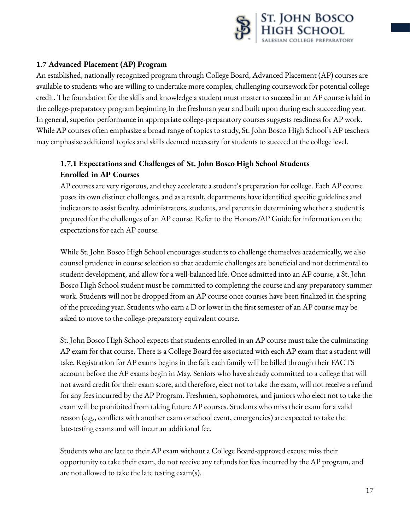

# **1.7 Advanced Placement (AP) Program**

An established, nationally recognized program through College Board, Advanced Placement (AP) courses are available to students who are willing to undertake more complex, challenging coursework for potential college credit. The foundation for the skills and knowledge a student must master to succeed in an AP course is laid in the college-preparatory program beginning in the freshman year and built upon during each succeeding year. In general, superior performance in appropriate college-preparatory courses suggests readiness for AP work. While AP courses often emphasize a broad range of topics to study, St. John Bosco High School's AP teachers may emphasize additional topics and skills deemed necessary for students to succeed at the college level.

# **1.7.1 Expectations and Challenges of St. John Bosco High School Students Enrolled in AP Courses**

AP courses are very rigorous, and they accelerate a student's preparation for college. Each AP course poses its own distinct challenges, and as a result, departments have identified specific guidelines and indicators to assist faculty, administrators, students, and parents in determining whether a student is prepared for the challenges of an AP course. Refer to the Honors/AP Guide for information on the expectations for each AP course.

While St. John Bosco High School encourages students to challenge themselves academically, we also counsel prudence in course selection so that academic challenges are beneficial and not detrimental to student development, and allow for a well-balanced life. Once admitted into an AP course, a St. John Bosco High School student must be committed to completing the course and any preparatory summer work. Students will not be dropped from an AP course once courses have been finalized in the spring of the preceding year. Students who earn a D or lower in the first semester of an AP course may be asked to move to the college-preparatory equivalent course.

St. John Bosco High School expects that students enrolled in an AP course must take the culminating AP exam for that course. There is a College Board fee associated with each AP exam that a student will take. Registration for AP exams begins in the fall; each family will be billed through their FACTS account before the AP exams begin in May. Seniors who have already committed to a college that will not award credit for their exam score, and therefore, elect not to take the exam, will not receive a refund for any fees incurred by the AP Program. Freshmen, sophomores, and juniors who elect not to take the exam will be prohibited from taking future AP courses. Students who miss their exam for a valid reason (e.g., conflicts with another exam or school event, emergencies) are expected to take the late-testing exams and will incur an additional fee.

Students who are late to their AP exam without a College Board-approved excuse miss their opportunity to take their exam, do not receive any refunds for fees incurred by the AP program, and are not allowed to take the late testing exam(s).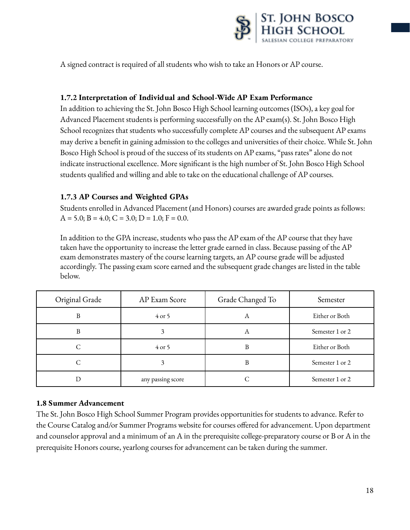

A signed contract is required of all students who wish to take an Honors or AP course.

### **1.7.2 Interpretation of Individual and School-Wide AP Exam Performance**

In addition to achieving the St. John Bosco High School learning outcomes (ISOs), a key goal for Advanced Placement students is performing successfully on the AP exam(s). St. John Bosco High School recognizes that students who successfully complete AP courses and the subsequent AP exams may derive a benefit in gaining admission to the colleges and universities of their choice. While St. John Bosco High School is proud of the success of its students on AP exams, "pass rates" alone do not indicate instructional excellence. More significant is the high number of St. John Bosco High School students qualified and willing and able to take on the educational challenge of AP courses.

# **1.7.3 AP Courses and Weighted GPAs**

Students enrolled in Advanced Placement (and Honors) courses are awarded grade points as follows:  $A = 5.0$ ;  $B = 4.0$ ;  $C = 3.0$ ;  $D = 1.0$ ;  $F = 0.0$ .

In addition to the GPA increase, students who pass the AP exam of the AP course that they have taken have the opportunity to increase the letter grade earned in class. Because passing of the AP exam demonstrates mastery of the course learning targets, an AP course grade will be adjusted accordingly. The passing exam score earned and the subsequent grade changes are listed in the table below.

| Original Grade | AP Exam Score     | Grade Changed To | Semester        |
|----------------|-------------------|------------------|-----------------|
| B              | $4$ or 5          | А                | Either or Both  |
| В              |                   | А                | Semester 1 or 2 |
|                | $4$ or 5          | B                | Either or Both  |
|                |                   | B                | Semester 1 or 2 |
|                | any passing score |                  | Semester 1 or 2 |

#### **1.8 Summer Advancement**

The St. John Bosco High School Summer Program provides opportunities for students to advance. Refer to the Course Catalog and/or Summer Programs website for courses offered for advancement. Upon department and counselor approval and a minimum of an A in the prerequisite college-preparatory course or B or A in the prerequisite Honors course, yearlong courses for advancement can be taken during the summer.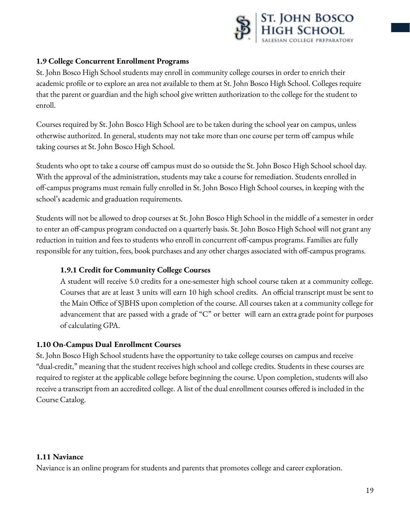

# **1.9 College Concurrent Enrollment Programs**

St. John Bosco High School students may enroll in community college courses in order to enrich their academic profile or to explore an area not available to them at St. John Bosco High School. Colleges require that the parent or guardian and the high school give written authorization to the college for the student to enroll.

Courses required by St. John Bosco High School are to be taken during the school year on campus, unless otherwise authorized. In general, students may not take more than one course per term off campus while taking courses at St. John Bosco High School.

Students who opt to take a course off campus must do so outside the St. John Bosco High School school day. With the approval of the administration, students may take a course for remediation. Students enrolled in off-campus programs must remain fully enrolled in St. John Bosco High School courses, in keeping with the school's academic and graduation requirements.

Students will not be allowed to drop courses at St. John Bosco High School in the middle of a semester in order to enter an off-campus program conducted on a quarterly basis. St. John Bosco High School will not grant any reduction in tuition and fees to students who enroll in concurrent off-campus programs. Families are fully responsible for any tuition, fees, book purchases and any other charges associated with off-campus programs.

#### **1.9.1 Credit for Community College Courses**

A student will receive 5.0 credits for a one-semester high school course taken at a community college. Courses that are at least 3 units will earn 10 high school credits. An official transcript must be sent to the Main Office of SJBHS upon completion of the course. All courses taken at a community college for advancement that are passed with a grade of "C" or better will earn an extra grade point for purposes of calculating GPA.

#### **1.10 On-Campus Dual Enrollment Courses**

St. John Bosco High School students have the opportunity to take college courses on campus and receive "dual-credit," meaning that the student receives high school and college credits. Students in these courses are required to register at the applicable college before beginning the course. Upon completion, students will also receive a transcript from an accredited college. A list of the dual enrollment courses offered is included in the Course Catalog.

#### **1.11 Naviance**

Naviance is an online program for students and parents that promotes college and career exploration.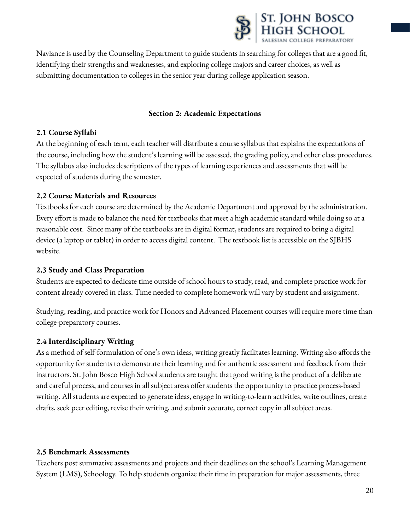

Naviance is used by the Counseling Department to guide students in searching for colleges that are a good fit, identifying their strengths and weaknesses, and exploring college majors and career choices, as well as submitting documentation to colleges in the senior year during college application season.

#### **Section 2: Academic Expectations**

#### **2.1 Course Syllabi**

At the beginning of each term, each teacher will distribute a course syllabus that explains the expectations of the course, including how the student's learning will be assessed, the grading policy, and other class procedures. The syllabus also includes descriptions of the types of learning experiences and assessments that will be expected of students during the semester.

# **2.2 Course Materials and Resources**

Textbooks for each course are determined by the Academic Department and approved by the administration. Every effort is made to balance the need for textbooks that meet a high academic standard while doing so at a reasonable cost. Since many of the textbooks are in digital format, students are required to bring a digital device (a laptop or tablet) in order to access digital content. The textbook list is accessible on the SJBHS website.

# **2.3 Study and Class Preparation**

Students are expected to dedicate time outside of school hours to study, read, and complete practice work for content already covered in class. Time needed to complete homework will vary by student and assignment.

Studying, reading, and practice work for Honors and Advanced Placement courses will require more time than college-preparatory courses.

# **2.4 Interdisciplinary Writing**

As a method of self-formulation of one's own ideas, writing greatly facilitates learning. Writing also affords the opportunity for students to demonstrate their learning and for authentic assessment and feedback from their instructors. St. John Bosco High School students are taught that good writing is the product of a deliberate and careful process, and courses in all subject areas offer students the opportunity to practice process-based writing. All students are expected to generate ideas, engage in writing-to-learn activities, write outlines, create drafts, seek peer editing, revise their writing, and submit accurate, correct copy in all subject areas.

#### **2.5 Benchmark Assessments**

Teachers post summative assessments and projects and their deadlines on the school's Learning Management System (LMS), Schoology. To help students organize their time in preparation for major assessments, three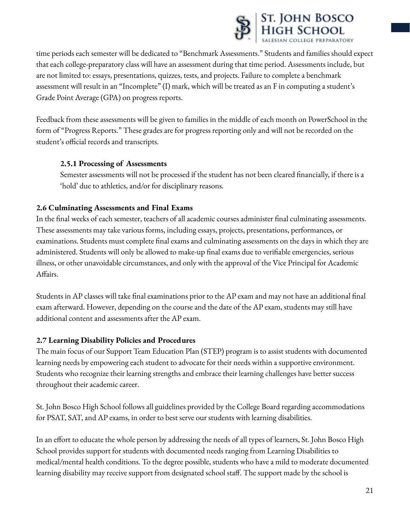

time periods each semester will be dedicated to "Benchmark Assessments." Students and families should expect that each college-preparatory class will have an assessment during that time period. Assessments include, but are not limited to: essays, presentations, quizzes, tests, and projects. Failure to complete a benchmark assessment will result in an "Incomplete" (I) mark, which will be treated as an F in computing a student's Grade Point Average (GPA) on progress reports.

Feedback from these assessments will be given to families in the middle of each month on PowerSchool in the form of "Progress Reports." These grades are for progress reporting only and will not be recorded on the student's official records and transcripts.

# **2.5.1 Processing of Assessments**

Semester assessments will not be processed if the student has not been cleared financially, if there is a 'hold' due to athletics, and/or for disciplinary reasons.

# **2.6 Culminating Assessments and Final Exams**

In the final weeks of each semester, teachers of all academic courses administer final culminating assessments. These assessments may take various forms, including essays, projects, presentations, performances, or examinations. Students must complete final exams and culminating assessments on the days in which they are administered. Students will only be allowed to make-up final exams due to verifiable emergencies, serious illness, or other unavoidable circumstances, and only with the approval of the Vice Principal for Academic Affairs.

Students in AP classes will take final examinations prior to the AP exam and may not have an additional final exam afterward. However, depending on the course and the date of the AP exam, students may still have additional content and assessments after the AP exam.

# **2.7 Learning Disability Policies and Procedures**

The main focus of our Support Team Education Plan (STEP) program is to assist students with documented learning needs by empowering each student to advocate for their needs within a supportive environment. Students who recognize their learning strengths and embrace their learning challenges have better success throughout their academic career.

St. John Bosco High School follows all guidelines provided by the College Board regarding accommodations for PSAT, SAT, and AP exams, in order to best serve our students with learning disabilities.

In an effort to educate the whole person by addressing the needs of all types of learners, St. John Bosco High School provides support for students with documented needs ranging from Learning Disabilities to medical/mental health conditions. To the degree possible, students who have a mild to moderate documented learning disability may receive support from designated school staff. The support made by the school is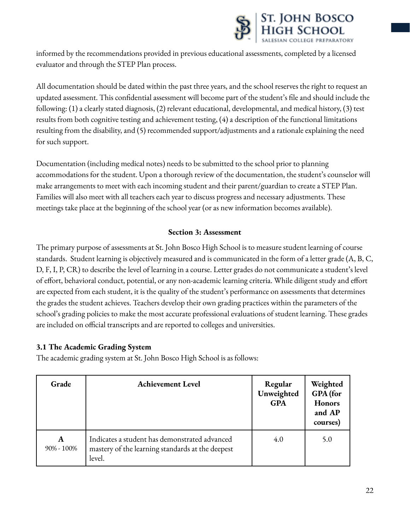

informed by the recommendations provided in previous educational assessments, completed by a licensed evaluator and through the STEP Plan process.

All documentation should be dated within the past three years, and the school reserves the right to request an updated assessment. This confidential assessment will become part of the student's file and should include the following: (1) a clearly stated diagnosis, (2) relevant educational, developmental, and medical history, (3) test results from both cognitive testing and achievement testing, (4) a description of the functional limitations resulting from the disability, and (5) recommended support/adjustments and a rationale explaining the need for such support.

Documentation (including medical notes) needs to be submitted to the school prior to planning accommodations for the student. Upon a thorough review of the documentation, the student's counselor will make arrangements to meet with each incoming student and their parent/guardian to create a STEP Plan. Families will also meet with all teachers each year to discuss progress and necessary adjustments. These meetings take place at the beginning of the school year (or as new information becomes available).

# **Section 3: Assessment**

The primary purpose of assessments at St. John Bosco High School is to measure student learning of course standards. Student learning is objectively measured and is communicated in the form of a letter grade (A, B, C, D, F, I, P, CR) to describe the level of learning in a course. Letter grades do not communicate a student's level of effort, behavioral conduct, potential, or any non-academic learning criteria. While diligent study and effort are expected from each student, it is the quality of the student's performance on assessments that determines the grades the student achieves. Teachers develop their own grading practices within the parameters of the school's grading policies to make the most accurate professional evaluations of student learning. These grades are included on official transcripts and are reported to colleges and universities.

#### **3.1 The Academic Grading System**

The academic grading system at St. John Bosco High School is as follows:

| Grade           | <b>Achievement Level</b>                                                                                    | Regular<br>Unweighted<br><b>GPA</b> | Weighted<br>GPA (for<br><b>Honors</b><br>and AP<br>courses) |
|-----------------|-------------------------------------------------------------------------------------------------------------|-------------------------------------|-------------------------------------------------------------|
| A<br>90% - 100% | Indicates a student has demonstrated advanced<br>mastery of the learning standards at the deepest<br>level. | 4.0                                 | 5.0                                                         |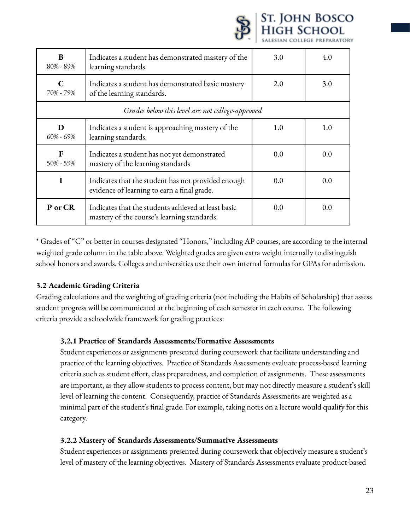|                                                  |                                                                                                    |     | SALESIAN COLLEGE PREPARATOR |
|--------------------------------------------------|----------------------------------------------------------------------------------------------------|-----|-----------------------------|
| B<br>80% - 89%                                   | Indicates a student has demonstrated mastery of the<br>learning standards.                         | 3.0 | 4.0                         |
| $\mathbf C$<br>70% - 79%                         | Indicates a student has demonstrated basic mastery<br>of the learning standards.                   | 2.0 | 3.0                         |
| Grades below this level are not college-approved |                                                                                                    |     |                             |
| D<br>$60\% - 69\%$                               | Indicates a student is approaching mastery of the<br>learning standards.                           | 1.0 | 1.0                         |
| F<br>$50\% - 59\%$                               | Indicates a student has not yet demonstrated<br>mastery of the learning standards                  | 0.0 | 0.0                         |
| I                                                | Indicates that the student has not provided enough<br>evidence of learning to earn a final grade.  | 0.0 | 0.0                         |
| P or CR                                          | Indicates that the students achieved at least basic<br>mastery of the course's learning standards. | 0.0 | 0.0                         |

St. John Bosco<br>High School

\* Grades of "C" or better in courses designated "Honors," including AP courses, are according to the internal weighted grade column in the table above. Weighted grades are given extra weight internally to distinguish school honors and awards. Colleges and universities use their own internal formulas for GPAs for admission.

# **3.2 Academic Grading Criteria**

Grading calculations and the weighting of grading criteria (not including the Habits of Scholarship) that assess student progress will be communicated at the beginning of each semester in each course. The following criteria provide a schoolwide framework for grading practices:

#### **3.2.1 Practice of Standards Assessments/Formative Assessments**

Student experiences or assignments presented during coursework that facilitate understanding and practice of the learning objectives. Practice of Standards Assessments evaluate process-based learning criteria such as student effort, class preparedness, and completion of assignments. These assessments are important, as they allow students to process content, but may not directly measure a student's skill level of learning the content. Consequently, practice of Standards Assessments are weighted as a minimal part of the student's final grade. For example, taking notes on a lecture would qualify for this category.

#### **3.2.2 Mastery of Standards Assessments/Summative Assessments**

Student experiences or assignments presented during coursework that objectively measure a student's level of mastery of the learning objectives. Mastery of Standards Assessments evaluate product-based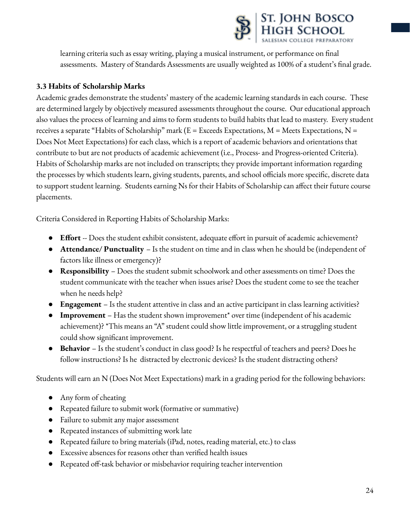

learning criteria such as essay writing, playing a musical instrument, or performance on final assessments. Mastery of Standards Assessments are usually weighted as 100% of a student's final grade.

# **3.3 Habits of Scholarship Marks**

Academic grades demonstrate the students' mastery of the academic learning standards in each course. These are determined largely by objectively measured assessments throughout the course. Our educational approach also values the process of learning and aims to form students to build habits that lead to mastery. Every student receives a separate "Habits of Scholarship" mark ( $E = E$ xceeds Expectations, M = Meets Expectations, N = Does Not Meet Expectations) for each class, which is a report of academic behaviors and orientations that contribute to but are not products of academic achievement (i.e., Process- and Progress-oriented Criteria). Habits of Scholarship marks are not included on transcripts; they provide important information regarding the processes by which students learn, giving students, parents, and school officials more specific, discrete data to support student learning. Students earning Ns for their Habits of Scholarship can affect their future course placements.

Criteria Considered in Reporting Habits of Scholarship Marks:

- **Effort** -- Does the student exhibit consistent, adequate effort in pursuit of academic achievement?
- **Attendance/ Punctuality** Is the student on time and in class when he should be (independent of factors like illness or emergency)?
- **Responsibility** Does the student submit schoolwork and other assessments on time? Does the student communicate with the teacher when issues arise? Does the student come to see the teacher when he needs help?
- **Engagement** Is the student attentive in class and an active participant in class learning activities?
- **Improvement** Has the student shown improvement\* over time (independent of his academic achievement)? \*This means an "A" student could show little improvement, or a struggling student could show significant improvement.
- **Behavior** Is the student's conduct in class good? Is he respectful of teachers and peers? Does he follow instructions? Is he distracted by electronic devices? Is the student distracting others?

Students will earn an N (Does Not Meet Expectations) mark in a grading period for the following behaviors:

- Any form of cheating
- Repeated failure to submit work (formative or summative)
- Failure to submit any major assessment
- Repeated instances of submitting work late
- Repeated failure to bring materials (iPad, notes, reading material, etc.) to class
- Excessive absences for reasons other than verified health issues
- Repeated off-task behavior or misbehavior requiring teacher intervention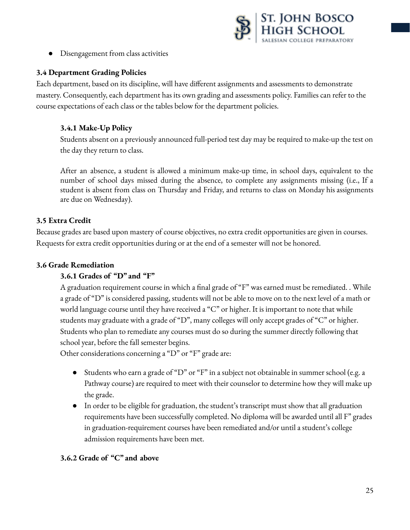

● Disengagement from class activities

# **3.4 Department Grading Policies**

Each department, based on its discipline, will have different assignments and assessments to demonstrate mastery. Consequently, each department has its own grading and assessments policy. Families can refer to the course expectations of each class or the tables below for the department policies.

# **3.4.1 Make-Up Policy**

Students absent on a previously announced full-period test day may be required to make-up the test on the day they return to class.

After an absence, a student is allowed a minimum make-up time, in school days, equivalent to the number of school days missed during the absence, to complete any assignments missing (i.e., If a student is absent from class on Thursday and Friday, and returns to class on Monday his assignments are due on Wednesday).

#### **3.5 Extra Credit**

Because grades are based upon mastery of course objectives, no extra credit opportunities are given in courses. Requests for extra credit opportunities during or at the end of a semester will not be honored.

### **3.6 Grade Remediation**

# **3.6.1 Grades of "D" and "F"**

A graduation requirement course in which a final grade of "F" was earned must be remediated. . While a grade of "D" is considered passing, students will not be able to move on to the next level of a math or world language course until they have received a "C" or higher. It is important to note that while students may graduate with a grade of "D", many colleges will only accept grades of "C" or higher. Students who plan to remediate any courses must do so during the summer directly following that school year, before the fall semester begins.

Other considerations concerning a "D" or "F" grade are:

- Students who earn a grade of "D" or "F" in a subject not obtainable in summer school (e.g. a Pathway course) are required to meet with their counselor to determine how they will make up the grade.
- In order to be eligible for graduation, the student's transcript must show that all graduation requirements have been successfully completed. No diploma will be awarded until all F" grades in graduation-requirement courses have been remediated and/or until a student's college admission requirements have been met.

#### **3.6.2 Grade of "C" and above**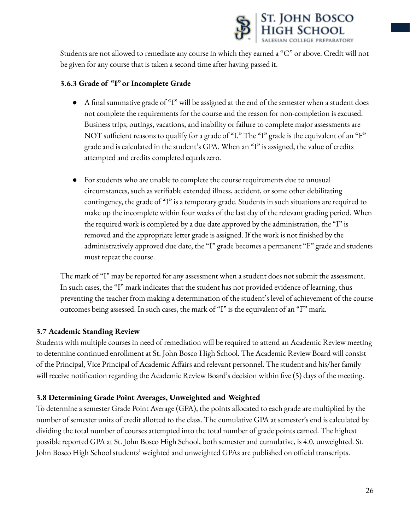

Students are not allowed to remediate any course in which they earned a "C" or above. Credit will not be given for any course that is taken a second time after having passed it.

#### **3.6.3 Grade of "I" or Incomplete Grade**

- A final summative grade of "I" will be assigned at the end of the semester when a student does not complete the requirements for the course and the reason for non-completion is excused. Business trips, outings, vacations, and inability or failure to complete major assessments are NOT sufficient reasons to qualify for a grade of "I." The "I" grade is the equivalent of an "F" grade and is calculated in the student's GPA. When an "I" is assigned, the value of credits attempted and credits completed equals zero.
- For students who are unable to complete the course requirements due to unusual circumstances, such as verifiable extended illness, accident, or some other debilitating contingency, the grade of "I" is a temporary grade. Students in such situations are required to make up the incomplete within four weeks of the last day of the relevant grading period. When the required work is completed by a due date approved by the administration, the "I" is removed and the appropriate letter grade is assigned. If the work is not finished by the administratively approved due date, the "I" grade becomes a permanent "F" grade and students must repeat the course.

The mark of "I" may be reported for any assessment when a student does not submit the assessment. In such cases, the "I" mark indicates that the student has not provided evidence of learning, thus preventing the teacher from making a determination of the student's level of achievement of the course outcomes being assessed. In such cases, the mark of "I" is the equivalent of an "F" mark.

#### **3.7 Academic Standing Review**

Students with multiple courses in need of remediation will be required to attend an Academic Review meeting to determine continued enrollment at St. John Bosco High School. The Academic Review Board will consist of the Principal, Vice Principal of Academic Affairs and relevant personnel. The student and his/her family will receive notification regarding the Academic Review Board's decision within five (5) days of the meeting.

# **3.8 Determining Grade Point Averages, Unweighted and Weighted**

To determine a semester Grade Point Average (GPA), the points allocated to each grade are multiplied by the number of semester units of credit allotted to the class. The cumulative GPA at semester's end is calculated by dividing the total number of courses attempted into the total number of grade points earned. The highest possible reported GPA at St. John Bosco High School, both semester and cumulative, is 4.0, unweighted. St. John Bosco High School students' weighted and unweighted GPAs are published on official transcripts.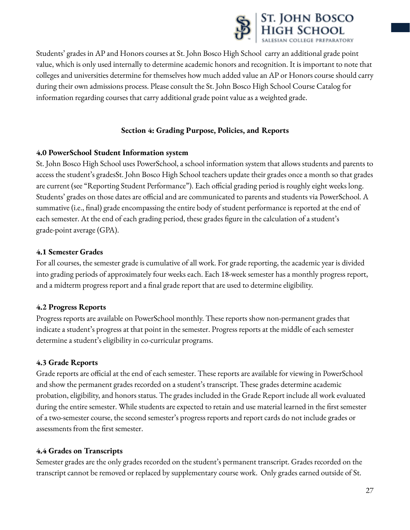

Students' grades in AP and Honors courses at St. John Bosco High School carry an additional grade point value, which is only used internally to determine academic honors and recognition. It is important to note that colleges and universities determine for themselves how much added value an AP or Honors course should carry during their own admissions process. Please consult the St. John Bosco High School Course Catalog for information regarding courses that carry additional grade point value as a weighted grade.

# **Section 4: Grading Purpose, Policies, and Reports**

# **4.0 PowerSchool Student Information system**

St. John Bosco High School uses PowerSchool, a school information system that allows students and parents to access the student's gradesSt. John Bosco High School teachers update their grades once a month so that grades are current (see "Reporting Student Performance"). Each official grading period is roughly eight weeks long. Students' grades on those dates are official and are communicated to parents and students via PowerSchool. A summative (i.e., final) grade encompassing the entire body of student performance is reported at the end of each semester. At the end of each grading period, these grades figure in the calculation of a student's grade-point average (GPA).

# **4.1 Semester Grades**

For all courses, the semester grade is cumulative of all work. For grade reporting, the academic year is divided into grading periods of approximately four weeks each. Each 18-week semester has a monthly progress report, and a midterm progress report and a final grade report that are used to determine eligibility.

# **4.2 Progress Reports**

Progress reports are available on PowerSchool monthly. These reports show non-permanent grades that indicate a student's progress at that point in the semester. Progress reports at the middle of each semester determine a student's eligibility in co-curricular programs.

# **4.3 Grade Reports**

Grade reports are official at the end of each semester. These reports are available for viewing in PowerSchool and show the permanent grades recorded on a student's transcript. These grades determine academic probation, eligibility, and honors status. The grades included in the Grade Report include all work evaluated during the entire semester. While students are expected to retain and use material learned in the first semester of a two-semester course, the second semester's progress reports and report cards do not include grades or assessments from the first semester.

# **4.4 Grades on Transcripts**

Semester grades are the only grades recorded on the student's permanent transcript. Grades recorded on the transcript cannot be removed or replaced by supplementary course work. Only grades earned outside of St.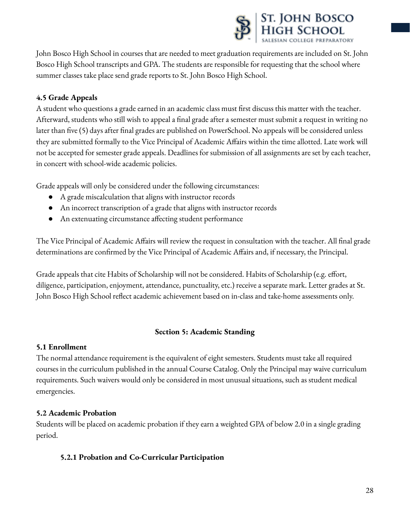

John Bosco High School in courses that are needed to meet graduation requirements are included on St. John Bosco High School transcripts and GPA. The students are responsible for requesting that the school where summer classes take place send grade reports to St. John Bosco High School.

# **4.5 Grade Appeals**

A student who questions a grade earned in an academic class must first discuss this matter with the teacher. Afterward, students who still wish to appeal a final grade after a semester must submit a request in writing no later than five (5) days after final grades are published on PowerSchool. No appeals will be considered unless they are submitted formally to the Vice Principal of Academic Affairs within the time allotted. Late work will not be accepted for semester grade appeals. Deadlines for submission of all assignments are set by each teacher, in concert with school-wide academic policies.

Grade appeals will only be considered under the following circumstances:

- A grade miscalculation that aligns with instructor records
- An incorrect transcription of a grade that aligns with instructor records
- An extenuating circumstance affecting student performance

The Vice Principal of Academic Affairs will review the request in consultation with the teacher. All final grade determinations are confirmed by the Vice Principal of Academic Affairs and, if necessary, the Principal.

Grade appeals that cite Habits of Scholarship will not be considered. Habits of Scholarship (e.g. effort, diligence, participation, enjoyment, attendance, punctuality, etc.) receive a separate mark. Letter grades at St. John Bosco High School reflect academic achievement based on in-class and take-home assessments only.

# **Section 5: Academic Standing**

#### **5.1 Enrollment**

The normal attendance requirement is the equivalent of eight semesters. Students must take all required courses in the curriculum published in the annual Course Catalog. Only the Principal may waive curriculum requirements. Such waivers would only be considered in most unusual situations, such as student medical emergencies.

#### **5.2 Academic Probation**

Students will be placed on academic probation if they earn a weighted GPA of below 2.0 in a single grading period.

#### **5.2.1 Probation and Co-Curricular Participation**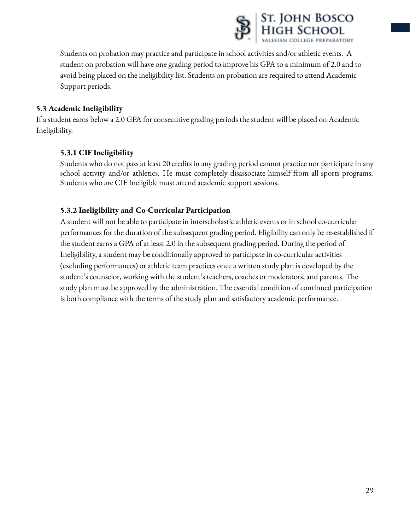

Students on probation may practice and participate in school activities and/or athletic events. A student on probation will have one grading period to improve his GPA to a minimum of 2.0 and to avoid being placed on the ineligibility list. Students on probation are required to attend Academic Support periods.

# **5.3 Academic Ineligibility**

If a student earns below a 2.0 GPA for consecutive grading periods the student will be placed on Academic Ineligibility.

# **5.3.1 CIF Ineligibility**

Students who do not pass at least 20 credits in any grading period cannot practice nor participate in any school activity and/or athletics. He must completely disassociate himself from all sports programs. Students who are CIF Ineligible must attend academic support sessions.

#### **5.3.2 Ineligibility and Co-Curricular Participation**

A student will not be able to participate in interscholastic athletic events or in school co-curricular performances for the duration of the subsequent grading period. Eligibility can only be re-established if the student earns a GPA of at least 2.0 in the subsequent grading period. During the period of Ineligibility, a student may be conditionally approved to participate in co-curricular activities (excluding performances) or athletic team practices once a written study plan is developed by the student's counselor, working with the student's teachers, coaches or moderators, and parents. The study plan must be approved by the administration. The essential condition of continued participation is both compliance with the terms of the study plan and satisfactory academic performance.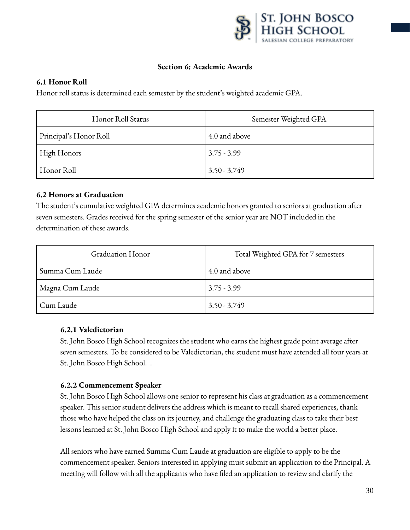

#### **Section 6: Academic Awards**

#### **6.1 Honor Roll**

Honor roll status is determined each semester by the student's weighted academic GPA.

| Honor Roll Status      | Semester Weighted GPA |
|------------------------|-----------------------|
| Principal's Honor Roll | 4.0 and above         |
| High Honors            | $3.75 - 3.99$         |
| Honor Roll             | $3.50 - 3.749$        |

#### **6.2 Honors at Graduation**

The student's cumulative weighted GPA determines academic honors granted to seniors at graduation after seven semesters. Grades received for the spring semester of the senior year are NOT included in the determination of these awards.

| Graduation Honor | Total Weighted GPA for 7 semesters |
|------------------|------------------------------------|
| Summa Cum Laude  | 4.0 and above                      |
| Magna Cum Laude  | $3.75 - 3.99$                      |
| Cum Laude        | $3.50 - 3.749$                     |

#### **6.2.1 Valedictorian**

St. John Bosco High School recognizes the student who earns the highest grade point average after seven semesters. To be considered to be Valedictorian, the student must have attended all four years at St. John Bosco High School. .

#### **6.2.2 Commencement Speaker**

St. John Bosco High School allows one senior to represent his class at graduation as a commencement speaker. This senior student delivers the address which is meant to recall shared experiences, thank those who have helped the class on its journey, and challenge the graduating class to take their best lessons learned at St. John Bosco High School and apply it to make the world a better place.

All seniors who have earned Summa Cum Laude at graduation are eligible to apply to be the commencement speaker. Seniors interested in applying must submit an application to the Principal. A meeting will follow with all the applicants who have filed an application to review and clarify the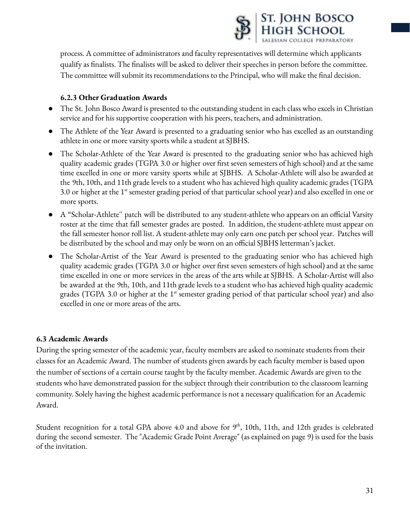

process. A committee of administrators and faculty representatives will determine which applicants qualify as finalists. The finalists will be asked to deliver their speeches in person before the committee. The committee will submit its recommendations to the Principal, who will make the final decision.

# **6.2.3 Other Graduation Awards**

- The St. John Bosco Award is presented to the outstanding student in each class who excels in Christian service and for his supportive cooperation with his peers, teachers, and administration.
- The Athlete of the Year Award is presented to a graduating senior who has excelled as an outstanding athlete in one or more varsity sports while a student at SJBHS.
- The Scholar-Athlete of the Year Award is presented to the graduating senior who has achieved high quality academic grades (TGPA 3.0 or higher over first seven semesters of high school) and at the same time excelled in one or more varsity sports while at SJBHS. A Scholar-Athlete will also be awarded at the 9th, 10th, and 11th grade levels to a student who has achieved high quality academic grades (TGPA 3.0 or higher at the 1st semester grading period of that particular school year) and also excelled in one or more sports.
- A "Scholar-Athlete'' patch will be distributed to any student-athlete who appears on an official Varsity roster at the time that fall semester grades are posted. In addition, the student-athlete must appear on the fall semester honor roll list. A student-athlete may only earn one patch per school year. Patches will be distributed by the school and may only be worn on an official SJBHS letterman's jacket.
- The Scholar-Artist of the Year Award is presented to the graduating senior who has achieved high quality academic grades (TGPA 3.0 or higher over first seven semesters of high school) and at the same time excelled in one or more services in the areas of the arts while at SJBHS. A Scholar-Artist will also be awarded at the 9th, 10th, and 11th grade levels to a student who has achieved high quality academic grades (TGPA 3.0 or higher at the 1<sup>st</sup> semester grading period of that particular school year) and also excelled in one or more areas of the arts.

# **6.3 Academic Awards**

During the spring semester of the academic year, faculty members are asked to nominate students from their classes for an Academic Award. The number of students given awards by each faculty member is based upon the number of sections of a certain course taught by the faculty member. Academic Awards are given to the students who have demonstrated passion for the subject through their contribution to the classroom learning community. Solely having the highest academic performance is not a necessary qualification for an Academic Award.

Student recognition for a total GPA above 4.0 and above for  $9<sup>th</sup>$ , 10th, 11th, and 12th grades is celebrated during the second semester. The "Academic Grade Point Average" (as explained on page 9) is used for the basis of the invitation.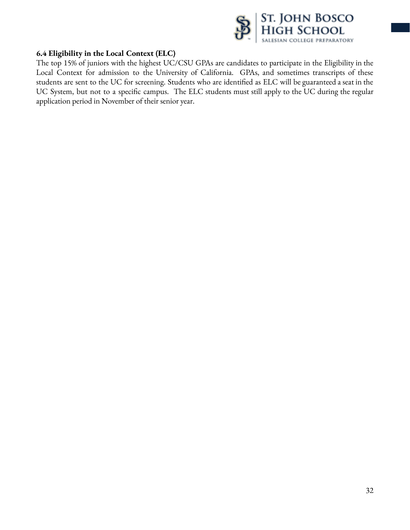

#### **6.4 Eligibility in the Local Context (ELC)**

The top 15% of juniors with the highest UC/CSU GPAs are candidates to participate in the Eligibility in the Local Context for admission to the University of California. GPAs, and sometimes transcripts of these students are sent to the UC for screening. Students who are identified as ELC will be guaranteed a seat in the UC System, but not to a specific campus. The ELC students must still apply to the UC during the regular application period in November of their senior year.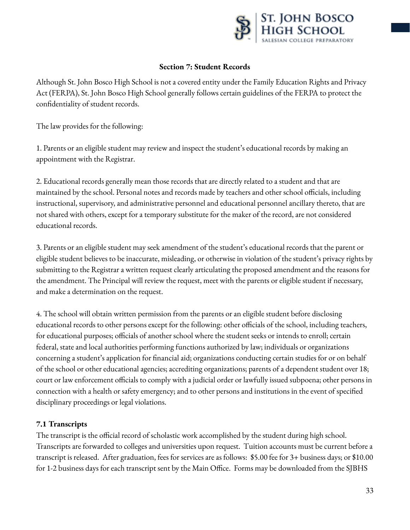

### **Section 7: Student Records**

Although St. John Bosco High School is not a covered entity under the Family Education Rights and Privacy Act (FERPA), St. John Bosco High School generally follows certain guidelines of the FERPA to protect the confidentiality of student records.

The law provides for the following:

1. Parents or an eligible student may review and inspect the student's educational records by making an appointment with the Registrar.

2. Educational records generally mean those records that are directly related to a student and that are maintained by the school. Personal notes and records made by teachers and other school officials, including instructional, supervisory, and administrative personnel and educational personnel ancillary thereto, that are not shared with others, except for a temporary substitute for the maker of the record, are not considered educational records.

3. Parents or an eligible student may seek amendment of the student's educational records that the parent or eligible student believes to be inaccurate, misleading, or otherwise in violation of the student's privacy rights by submitting to the Registrar a written request clearly articulating the proposed amendment and the reasons for the amendment. The Principal will review the request, meet with the parents or eligible student if necessary, and make a determination on the request.

4. The school will obtain written permission from the parents or an eligible student before disclosing educational records to other persons except for the following: other officials of the school, including teachers, for educational purposes; officials of another school where the student seeks or intends to enroll; certain federal, state and local authorities performing functions authorized by law; individuals or organizations concerning a student's application for financial aid; organizations conducting certain studies for or on behalf of the school or other educational agencies; accrediting organizations; parents of a dependent student over 18; court or law enforcement officials to comply with a judicial order or lawfully issued subpoena; other persons in connection with a health or safety emergency; and to other persons and institutions in the event of specified disciplinary proceedings or legal violations.

#### **7.1 Transcripts**

The transcript is the official record of scholastic work accomplished by the student during high school. Transcripts are forwarded to colleges and universities upon request. Tuition accounts must be current before a transcript is released. After graduation, fees for services are as follows: \$5.00 fee for 3+ business days; or \$10.00 for 1-2 business days for each transcript sent by the Main Office. Forms may be downloaded from the SJBHS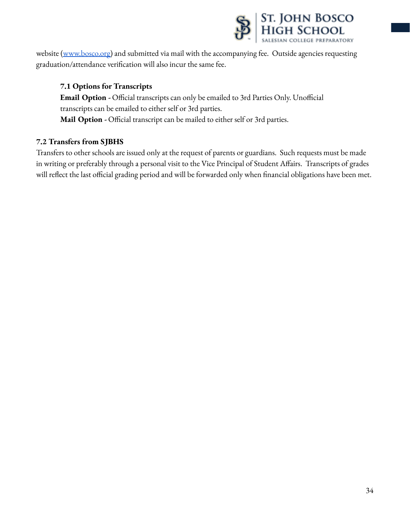

website [\(www.bosco.org\)](http://www.bosco.org) and submitted via mail with the accompanying fee. Outside agencies requesting graduation/attendance verification will also incur the same fee.

### **7.1 Options for Transcripts**

**Email Option -** Official transcripts can only be emailed to 3rd Parties Only. Unofficial transcripts can be emailed to either self or 3rd parties. **Mail Option -** Official transcript can be mailed to either self or 3rd parties.

# **7.2 Transfers from SJBHS**

Transfers to other schools are issued only at the request of parents or guardians. Such requests must be made in writing or preferably through a personal visit to the Vice Principal of Student Affairs. Transcripts of grades will reflect the last official grading period and will be forwarded only when financial obligations have been met.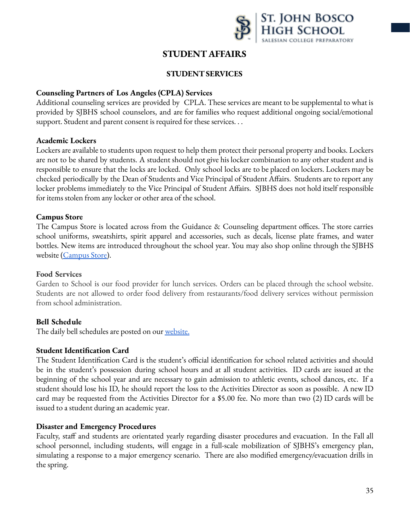

# **STUDENT AFFAIRS**

### **STUDENT SERVICES**

#### <span id="page-35-0"></span>**Counseling Partners of Los Angeles (CPLA) Services**

Additional counseling services are provided by CPLA. These services are meant to be supplemental to what is provided by SJBHS school counselors, and are for families who request additional ongoing social/emotional support. Student and parent consent is required for these services. . .

#### **Academic Lockers**

Lockers are available to students upon request to help them protect their personal property and books. Lockers are not to be shared by students. A student should not give his locker combination to any other student and is responsible to ensure that the locks are locked. Only school locks are to be placed on lockers. Lockers may be checked periodically by the Dean of Students and Vice Principal of Student Affairs. Students are to report any locker problems immediately to the Vice Principal of Student Affairs. SJBHS does not hold itself responsible for items stolen from any locker or other area of the school.

#### **Campus Store**

The Campus Store is located across from the Guidance & Counseling department offices. The store carries school uniforms, sweatshirts, spirit apparel and accessories, such as decals, license plate frames, and water bottles. New items are introduced throughout the school year. You may also shop online through the SJBHS website [\(Campus](https://www.bosco.org/my-bosco/shop) Store).

#### **Food Services**

Garden to School is our food provider for lunch services. Orders can be placed through the school website. Students are not allowed to order food delivery from restaurants/food delivery services without permission from school administration.

#### **Bell Schedule**

The daily bell schedules are posted on our [website.](https://www.bosco.org/uploaded/MY_BOSCO/students/bell_schedile_2021-22.pdf)

#### **Student Identification Card**

The Student Identification Card is the student's official identification for school related activities and should be in the student's possession during school hours and at all student activities. ID cards are issued at the beginning of the school year and are necessary to gain admission to athletic events, school dances, etc. If a student should lose his ID, he should report the loss to the Activities Director as soon as possible. A new ID card may be requested from the Activities Director for a \$5.00 fee. No more than two (2) ID cards will be issued to a student during an academic year.

#### **Disaster and Emergency Procedures**

Faculty, staff and students are orientated yearly regarding disaster procedures and evacuation. In the Fall all school personnel, including students, will engage in a full-scale mobilization of SJBHS's emergency plan, simulating a response to a major emergency scenario. There are also modified emergency/evacuation drills in the spring.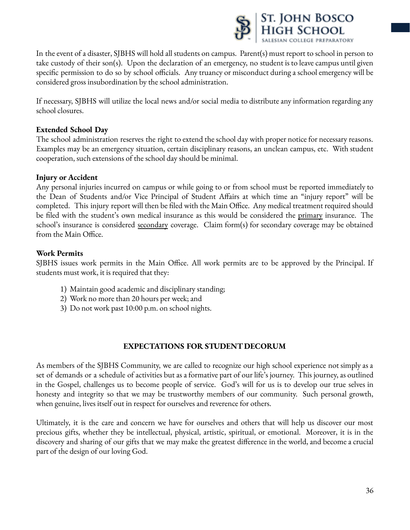

In the event of a disaster, SJBHS will hold all students on campus. Parent(s) must report to school in person to take custody of their son(s). Upon the declaration of an emergency, no student is to leave campus until given specific permission to do so by school officials. Any truancy or misconduct during a school emergency will be considered gross insubordination by the school administration.

If necessary, SJBHS will utilize the local news and/or social media to distribute any information regarding any school closures.

### **Extended School Day**

The school administration reserves the right to extend the school day with proper notice for necessary reasons. Examples may be an emergency situation, certain disciplinary reasons, an unclean campus, etc. With student cooperation, such extensions of the school day should be minimal.

### **Injury or Accident**

Any personal injuries incurred on campus or while going to or from school must be reported immediately to the Dean of Students and/or Vice Principal of Student Affairs at which time an "injury report" will be completed. This injury report will then be filed with the Main Office. Any medical treatment required should be filed with the student's own medical insurance as this would be considered the <u>primary</u> insurance. The school's insurance is considered <u>secondary</u> coverage. Claim form(s) for secondary coverage may be obtained from the Main Office.

## **Work Permits**

SJBHS issues work permits in the Main Office. All work permits are to be approved by the Principal. If students must work, it is required that they:

- 1) Maintain good academic and disciplinary standing;
- 2) Work no more than 20 hours per week; and
- 3) Do not work past 10:00 p.m. on school nights.

## **EXPECTATIONS FOR STUDENT DECORUM**

As members of the SJBHS Community, we are called to recognize our high school experience not simply as a set of demands or a schedule of activities but as a formative part of our life's journey. This journey, as outlined in the Gospel, challenges us to become people of service. God's will for us is to develop our true selves in honesty and integrity so that we may be trustworthy members of our community. Such personal growth, when genuine, lives itself out in respect for ourselves and reverence for others.

Ultimately, it is the care and concern we have for ourselves and others that will help us discover our most precious gifts, whether they be intellectual, physical, artistic, spiritual, or emotional. Moreover, it is in the discovery and sharing of our gifts that we may make the greatest difference in the world, and become a crucial part of the design of our loving God.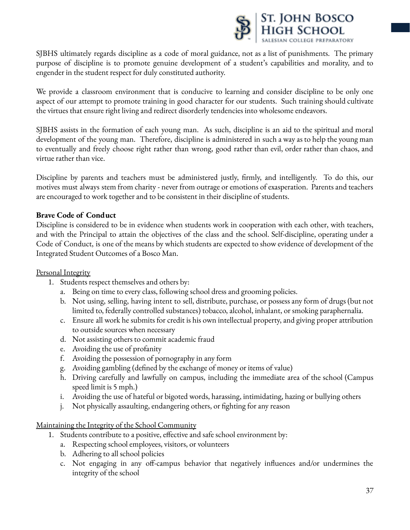

SJBHS ultimately regards discipline as a code of moral guidance, not as a list of punishments. The primary purpose of discipline is to promote genuine development of a student's capabilities and morality, and to engender in the student respect for duly constituted authority.

We provide a classroom environment that is conducive to learning and consider discipline to be only one aspect of our attempt to promote training in good character for our students. Such training should cultivate the virtues that ensure right living and redirect disorderly tendencies into wholesome endeavors.

SJBHS assists in the formation of each young man. As such, discipline is an aid to the spiritual and moral development of the young man. Therefore, discipline is administered in such a way as to help the young man to eventually and freely choose right rather than wrong, good rather than evil, order rather than chaos, and virtue rather than vice.

Discipline by parents and teachers must be administered justly, firmly, and intelligently. To do this, our motives must always stem from charity - never from outrage or emotions of exasperation. Parents and teachers are encouraged to work together and to be consistent in their discipline of students.

### **Brave Code of Conduct**

Discipline is considered to be in evidence when students work in cooperation with each other, with teachers, and with the Principal to attain the objectives of the class and the school. Self-discipline, operating under a Code of Conduct, is one of the means by which students are expected to show evidence of development of the Integrated Student Outcomes of a Bosco Man.

#### Personal Integrity

- 1. Students respect themselves and others by:
	- a. Being on time to every class, following school dress and grooming policies.
	- b. Not using, selling, having intent to sell, distribute, purchase, or possess any form of drugs (but not limited to, federally controlled substances) tobacco, alcohol, inhalant, or smoking paraphernalia.
	- c. Ensure all work he submits for credit is his own intellectual property, and giving proper attribution to outside sources when necessary
	- d. Not assisting others to commit academic fraud
	- e. Avoiding the use of profanity
	- f. Avoiding the possession of pornography in any form
	- g. Avoiding gambling (defined by the exchange of money or items of value)
	- h. Driving carefully and lawfully on campus, including the immediate area of the school (Campus speed limit is 5 mph.)
	- i. Avoiding the use of hateful or bigoted words, harassing, intimidating, hazing or bullying others
	- j. Not physically assaulting, endangering others, or fighting for any reason

Maintaining the Integrity of the School Community

- 1. Students contribute to a positive, effective and safe school environment by:
	- a. Respecting school employees, visitors, or volunteers
	- b. Adhering to all school policies
	- c. Not engaging in any off-campus behavior that negatively influences and/or undermines the integrity of the school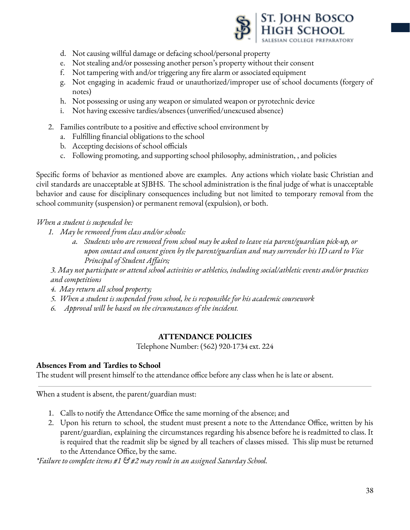

- d. Not causing willful damage or defacing school/personal property
- e. Not stealing and/or possessing another person's property without their consent
- f. Not tampering with and/or triggering any fire alarm or associated equipment
- g. Not engaging in academic fraud or unauthorized/improper use of school documents (forgery of notes)
- h. Not possessing or using any weapon or simulated weapon or pyrotechnic device
- i. Not having excessive tardies/absences (unverified/unexcused absence)
- 2. Families contribute to a positive and effective school environment by
	- a. Fulfilling financial obligations to the school
	- b. Accepting decisions of school officials
	- c. Following promoting, and supporting school philosophy, administration, , and policies

Specific forms of behavior as mentioned above are examples. Any actions which violate basic Christian and civil standards are unacceptable at SJBHS. The school administration is the final judge of what is unacceptable behavior and cause for disciplinary consequences including but not limited to temporary removal from the school community (suspension) or permanent removal (expulsion), or both.

## *When a student is suspended he:*

- *1. May be removed from class and/or schools:*
	- *a. Students who are removed from school may be asked to leave via parent/guardian pick-up, or upon contact and consent given by the parent/guardian and may surrender his ID card to Vice Principal of Student Affairs;*

*3. May not participate or attend school activities or athletics, including social/athletic events and/or practices and competitions*

- *4. May return all school property;*
- *5. When a student is suspended from school, he is responsible for his academic coursework*
- *6. Approval will be based on the circumstances of the incident.*

### **ATTENDANCE POLICIES**

Telephone Number: (562) 920-1734 ext. 224

### **Absences From and Tardies to School**

The student will present himself to the attendance office before any class when he is late or absent.

When a student is absent, the parent/guardian must:

- 1. Calls to notify the Attendance Office the same morning of the absence; and
- 2. Upon his return to school, the student must present a note to the Attendance Office, written by his parent/guardian, explaining the circumstances regarding his absence before he is readmitted to class. It is required that the readmit slip be signed by all teachers of classes missed. This slip must be returned to the Attendance Office, by the same.

*\*Failure to complete items #1 & #2 may result in an assigned Saturday School.*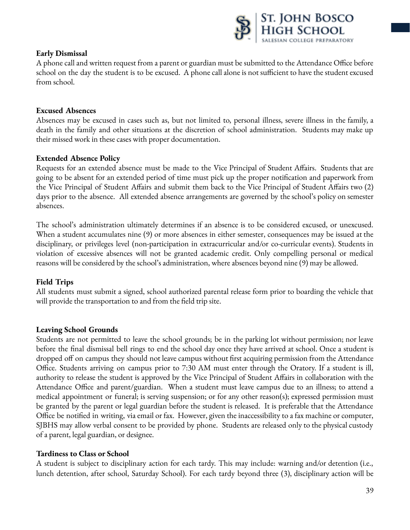

### **Early Dismissal**

A phone call and written request from a parent or guardian must be submitted to the Attendance Office before school on the day the student is to be excused. A phone call alone is not sufficient to have the student excused from school.

#### **Excused Absences**

Absences may be excused in cases such as, but not limited to, personal illness, severe illness in the family, a death in the family and other situations at the discretion of school administration. Students may make up their missed work in these cases with proper documentation.

#### **Extended Absence Policy**

Requests for an extended absence must be made to the Vice Principal of Student Affairs. Students that are going to be absent for an extended period of time must pick up the proper notification and paperwork from the Vice Principal of Student Affairs and submit them back to the Vice Principal of Student Affairs two (2) days prior to the absence. All extended absence arrangements are governed by the school's policy on semester absences.

The school's administration ultimately determines if an absence is to be considered excused, or unexcused. When a student accumulates nine (9) or more absences in either semester, consequences may be issued at the disciplinary, or privileges level (non-participation in extracurricular and/or co-curricular events). Students in violation of excessive absences will not be granted academic credit. Only compelling personal or medical reasons will be considered by the school's administration, where absences beyond nine (9) may be allowed.

### **Field Trips**

All students must submit a signed, school authorized parental release form prior to boarding the vehicle that will provide the transportation to and from the field trip site.

### **Leaving School Grounds**

Students are not permitted to leave the school grounds; be in the parking lot without permission; nor leave before the final dismissal bell rings to end the school day once they have arrived at school. Once a student is dropped off on campus they should not leave campus without first acquiring permission from the Attendance Office. Students arriving on campus prior to 7:30 AM must enter through the Oratory. If a student is ill, authority to release the student is approved by the Vice Principal of Student Affairs in collaboration with the Attendance Office and parent/guardian. When a student must leave campus due to an illness; to attend a medical appointment or funeral; is serving suspension; or for any other reason(s); expressed permission must be granted by the parent or legal guardian before the student is released. It is preferable that the Attendance Office be notified in writing, via email or fax. However, given the inaccessibility to a fax machine or computer, SJBHS may allow verbal consent to be provided by phone. Students are released only to the physical custody of a parent, legal guardian, or designee.

#### **Tardiness to Class or School**

A student is subject to disciplinary action for each tardy. This may include: warning and/or detention (i.e., lunch detention, after school, Saturday School). For each tardy beyond three (3), disciplinary action will be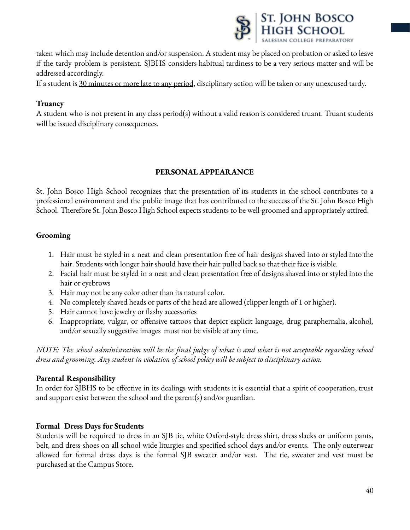

taken which may include detention and/or suspension. A student may be placed on probation or asked to leave if the tardy problem is persistent. SJBHS considers habitual tardiness to be a very serious matter and will be addressed accordingly.

If a student is 30 minutes or more late to any period, disciplinary action will be taken or any unexcused tardy.

## **Truancy**

A student who is not present in any class period(s) without a valid reason is considered truant. Truant students will be issued disciplinary consequences.

## **PERSONAL APPEARANCE**

St. John Bosco High School recognizes that the presentation of its students in the school contributes to a professional environment and the public image that has contributed to the success of the St. John Bosco High School. Therefore St. John Bosco High School expects students to be well-groomed and appropriately attired.

## **Grooming**

- 1. Hair must be styled in a neat and clean presentation free of hair designs shaved into or styled into the hair. Students with longer hair should have their hair pulled back so that their face is visible.
- 2. Facial hair must be styled in a neat and clean presentation free of designs shaved into or styled into the hair or eyebrows
- 3. Hair may not be any color other than its natural color.
- 4. No completely shaved heads or parts of the head are allowed (clipper length of 1 or higher).
- 5. Hair cannot have jewelry or flashy accessories
- 6. Inappropriate, vulgar, or offensive tattoos that depict explicit language, drug paraphernalia, alcohol, and/or sexually suggestive images must not be visible at any time.

NOTE: The school administration will be the final judge of what is and what is not acceptable regarding school *dress and grooming. Any student in violation of school policy will be subject to disciplinary action.*

### **Parental Responsibility**

In order for SJBHS to be effective in its dealings with students it is essential that a spirit of cooperation, trust and support exist between the school and the parent(s) and/or guardian.

### **Formal Dress Days for Students**

Students will be required to dress in an SJB tie, white Oxford-style dress shirt, dress slacks or uniform pants, belt, and dress shoes on all school wide liturgies and specified school days and/or events. The only outerwear allowed for formal dress days is the formal SJB sweater and/or vest. The tie, sweater and vest must be purchased at the Campus Store.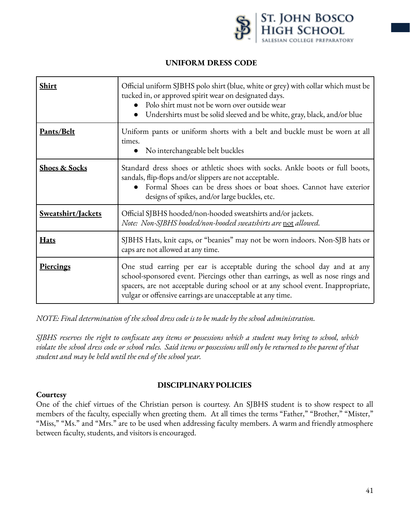

#### **UNIFORM DRESS CODE**

| <b>Shirt</b>             | Official uniform SJBHS polo shirt (blue, white or grey) with collar which must be<br>tucked in, or approved spirit wear on designated days.<br>Polo shirt must not be worn over outside wear<br>Undershirts must be solid sleeved and be white, gray, black, and/or blue                                      |  |
|--------------------------|---------------------------------------------------------------------------------------------------------------------------------------------------------------------------------------------------------------------------------------------------------------------------------------------------------------|--|
| Pants/Belt               | Uniform pants or uniform shorts with a belt and buckle must be worn at all<br>times.<br>No interchangeable belt buckles                                                                                                                                                                                       |  |
| <b>Shoes &amp; Socks</b> | Standard dress shoes or athletic shoes with socks. Ankle boots or full boots,<br>sandals, flip-flops and/or slippers are not acceptable.<br>Formal Shoes can be dress shoes or boat shoes. Cannot have exterior<br>designs of spikes, and/or large buckles, etc.                                              |  |
| Sweatshirt/Jackets       | Official SJBHS hooded/non-hooded sweatshirts and/or jackets.<br>Note: Non-SJBHS hooded/non-hooded sweatshirts are not allowed.                                                                                                                                                                                |  |
| <b>Hats</b>              | SJBHS Hats, knit caps, or "beanies" may not be worn indoors. Non-SJB hats or<br>caps are not allowed at any time.                                                                                                                                                                                             |  |
| <b>Piercings</b>         | One stud earring per ear is acceptable during the school day and at any<br>school-sponsored event. Piercings other than earrings, as well as nose rings and<br>spacers, are not acceptable during school or at any school event. Inappropriate,<br>vulgar or offensive earrings are unacceptable at any time. |  |

*NOTE: Final determination of the school dress code is to be made by the school administration.*

SJBHS reserves the right to confiscate any items or possessions which a student may bring to school, which violate the school dress code or school rules. Said items or possessions will only be returned to the parent of that *student and may be held until the end of the school year.*

#### **Courtesy**

### **DISCIPLINARYPOLICIES**

One of the chief virtues of the Christian person is courtesy. An SJBHS student is to show respect to all members of the faculty, especially when greeting them. At all times the terms "Father," "Brother," "Mister," "Miss," "Ms." and "Mrs." are to be used when addressing faculty members. A warm and friendly atmosphere between faculty, students, and visitors is encouraged.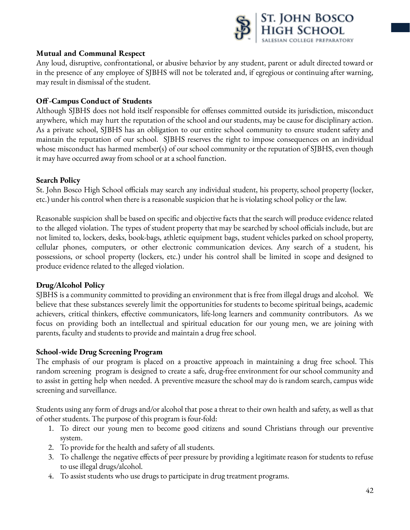

### **Mutual and Communal Respect**

Any loud, disruptive, confrontational, or abusive behavior by any student, parent or adult directed toward or in the presence of any employee of SJBHS will not be tolerated and, if egregious or continuing after warning, may result in dismissal of the student.

## **Off-Campus Conduct of Students**

Although SJBHS does not hold itself responsible for offenses committed outside its jurisdiction, misconduct anywhere, which may hurt the reputation of the school and our students, may be cause for disciplinary action. As a private school, SJBHS has an obligation to our entire school community to ensure student safety and maintain the reputation of our school. SJBHS reserves the right to impose consequences on an individual whose misconduct has harmed member(s) of our school community or the reputation of SJBHS, even though it may have occurred away from school or at a school function.

### **Search Policy**

St. John Bosco High School officials may search any individual student, his property, school property (locker, etc.) under his control when there is a reasonable suspicion that he is violating school policy or the law.

Reasonable suspicion shall be based on specific and objective facts that the search will produce evidence related to the alleged violation. The types of student property that may be searched by school officials include, but are not limited to, lockers, desks, book-bags, athletic equipment bags, student vehicles parked on school property, cellular phones, computers, or other electronic communication devices. Any search of a student, his possessions, or school property (lockers, etc.) under his control shall be limited in scope and designed to produce evidence related to the alleged violation.

## **Drug/Alcohol Policy**

SJBHS is a community committed to providing an environment that is free from illegal drugs and alcohol. We believe that these substances severely limit the opportunities for students to become spiritual beings, academic achievers, critical thinkers, effective communicators, life-long learners and community contributors. As we focus on providing both an intellectual and spiritual education for our young men, we are joining with parents, faculty and students to provide and maintain a drug free school.

## **School-wide Drug Screening Program**

The emphasis of our program is placed on a proactive approach in maintaining a drug free school. This random screening program is designed to create a safe, drug-free environment for our school community and to assist in getting help when needed. A preventive measure the school may do is random search, campus wide screening and surveillance.

Students using any form of drugs and/or alcohol that pose a threat to their own health and safety, as well as that of other students. The purpose of this program is four-fold:

- 1. To direct our young men to become good citizens and sound Christians through our preventive system.
- 2. To provide for the health and safety of all students.
- 3. To challenge the negative effects of peer pressure by providing a legitimate reason for students to refuse to use illegal drugs/alcohol.
- 4. To assist students who use drugs to participate in drug treatment programs.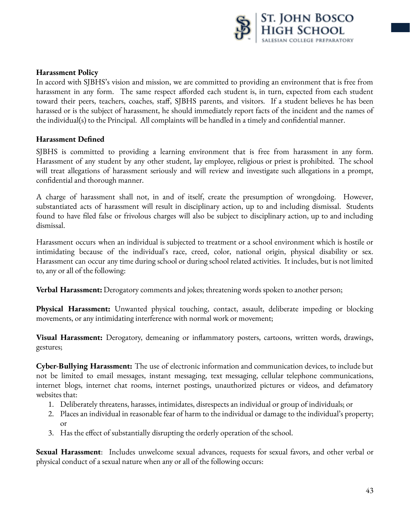

#### **Harassment Policy**

In accord with SJBHS's vision and mission, we are committed to providing an environment that is free from harassment in any form. The same respect afforded each student is, in turn, expected from each student toward their peers, teachers, coaches, staff, SJBHS parents, and visitors. If a student believes he has been harassed or is the subject of harassment, he should immediately report facts of the incident and the names of the individual(s) to the Principal. All complaints will be handled in a timely and confidential manner.

#### **Harassment Defined**

SJBHS is committed to providing a learning environment that is free from harassment in any form. Harassment of any student by any other student, lay employee, religious or priest is prohibited. The school will treat allegations of harassment seriously and will review and investigate such allegations in a prompt, confidential and thorough manner.

A charge of harassment shall not, in and of itself, create the presumption of wrongdoing. However, substantiated acts of harassment will result in disciplinary action, up to and including dismissal. Students found to have filed false or frivolous charges will also be subject to disciplinary action, up to and including dismissal.

Harassment occurs when an individual is subjected to treatment or a school environment which is hostile or intimidating because of the individual's race, creed, color, national origin, physical disability or sex. Harassment can occur any time during school or during school related activities. It includes, but is not limited to, any or all of the following:

**Verbal Harassment:** Derogatory comments and jokes; threatening words spoken to another person;

**Physical Harassment:** Unwanted physical touching, contact, assault, deliberate impeding or blocking movements, or any intimidating interference with normal work or movement;

**Visual Harassment:** Derogatory, demeaning or inflammatory posters, cartoons, written words, drawings, gestures;

**Cyber-Bullying Harassment:** The use of electronic information and communication devices, to include but not be limited to email messages, instant messaging, text messaging, cellular telephone communications, internet blogs, internet chat rooms, internet postings, unauthorized pictures or videos, and defamatory websites that:

- 1. Deliberately threatens, harasses, intimidates, disrespects an individual or group of individuals; or
- 2. Places an individual in reasonable fear of harm to the individual or damage to the individual's property; or
- 3. Has the effect of substantially disrupting the orderly operation of the school.

**Sexual Harassment**: Includes unwelcome sexual advances, requests for sexual favors, and other verbal or physical conduct of a sexual nature when any or all of the following occurs: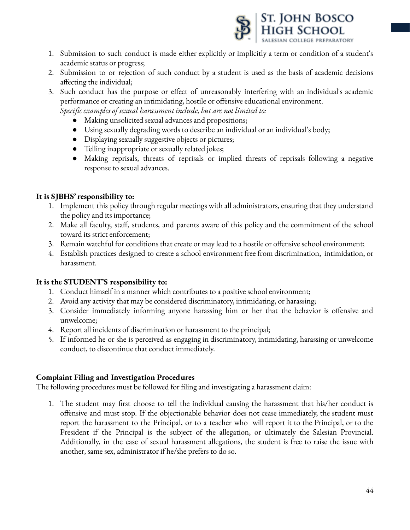

- 1. Submission to such conduct is made either explicitly or implicitly a term or condition of a student's academic status or progress;
- 2. Submission to or rejection of such conduct by a student is used as the basis of academic decisions affecting the individual;
- 3. Such conduct has the purpose or effect of unreasonably interfering with an individual's academic performance or creating an intimidating, hostile or offensive educational environment.
	- *Specific examples of sexual harassment include, but are not limited to:*
		- Making unsolicited sexual advances and propositions;
		- Using sexually degrading words to describe an individual or an individual's body;
		- Displaying sexually suggestive objects or pictures;
		- Telling inappropriate or sexually related jokes;
		- Making reprisals, threats of reprisals or implied threats of reprisals following a negative response to sexual advances.

## **It is SJBHS' responsibility to:**

- 1. Implement this policy through regular meetings with all administrators, ensuring that they understand the policy and its importance;
- 2. Make all faculty, staff, students, and parents aware of this policy and the commitment of the school toward its strict enforcement;
- 3. Remain watchful for conditions that create or may lead to a hostile or offensive school environment;
- 4. Establish practices designed to create a school environment free from discrimination, intimidation, or harassment.

### **It is the STUDENT'S responsibility to:**

- 1. Conduct himself in a manner which contributes to a positive school environment;
- 2. Avoid any activity that may be considered discriminatory, intimidating, or harassing;
- 3. Consider immediately informing anyone harassing him or her that the behavior is offensive and unwelcome;
- 4. Report all incidents of discrimination or harassment to the principal;
- 5. If informed he or she is perceived as engaging in discriminatory, intimidating, harassing or unwelcome conduct, to discontinue that conduct immediately.

## **Complaint Filing and Investigation Procedures**

The following procedures must be followed for filing and investigating a harassment claim:

1. The student may first choose to tell the individual causing the harassment that his/her conduct is offensive and must stop. If the objectionable behavior does not cease immediately, the student must report the harassment to the Principal, or to a teacher who will report it to the Principal, or to the President if the Principal is the subject of the allegation, or ultimately the Salesian Provincial. Additionally, in the case of sexual harassment allegations, the student is free to raise the issue with another, same sex, administrator if he/she prefers to do so.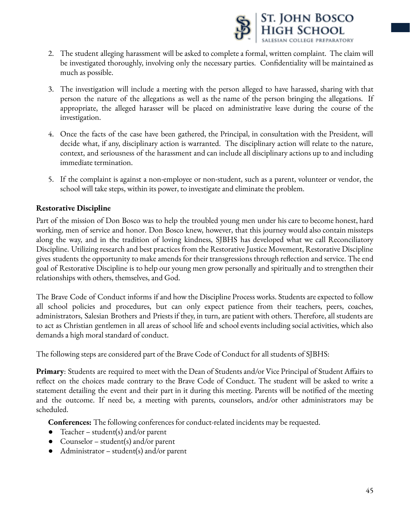

- 2. The student alleging harassment will be asked to complete a formal, written complaint. The claim will be investigated thoroughly, involving only the necessary parties. Confidentiality will be maintained as much as possible.
- 3. The investigation will include a meeting with the person alleged to have harassed, sharing with that person the nature of the allegations as well as the name of the person bringing the allegations. If appropriate, the alleged harasser will be placed on administrative leave during the course of the investigation.
- 4. Once the facts of the case have been gathered, the Principal, in consultation with the President, will decide what, if any, disciplinary action is warranted. The disciplinary action will relate to the nature, context, and seriousness of the harassment and can include all disciplinary actions up to and including immediate termination.
- 5. If the complaint is against a non-employee or non-student, such as a parent, volunteer or vendor, the school will take steps, within its power, to investigate and eliminate the problem.

### **Restorative Discipline**

Part of the mission of Don Bosco was to help the troubled young men under his care to become honest, hard working, men of service and honor. Don Bosco knew, however, that this journey would also contain missteps along the way, and in the tradition of loving kindness, SJBHS has developed what we call Reconciliatory Discipline. Utilizing research and best practices from the Restorative Justice Movement, Restorative Discipline gives students the opportunity to make amends for their transgressions through reflection and service. The end goal of Restorative Discipline is to help our young men grow personally and spiritually and to strengthen their relationships with others, themselves, and God.

The Brave Code of Conduct informs if and how the Discipline Process works. Students are expected to follow all school policies and procedures, but can only expect patience from their teachers, peers, coaches, administrators, Salesian Brothers and Priests if they, in turn, are patient with others. Therefore, all students are to act as Christian gentlemen in all areas of school life and school events including social activities, which also demands a high moral standard of conduct.

The following steps are considered part of the Brave Code of Conduct for all students of SJBHS:

**Primary**: Students are required to meet with the Dean of Students and/or Vice Principal of Student Affairs to reflect on the choices made contrary to the Brave Code of Conduct. The student will be asked to write a statement detailing the event and their part in it during this meeting. Parents will be notified of the meeting and the outcome. If need be, a meeting with parents, counselors, and/or other administrators may be scheduled.

**Conferences:** The following conferences for conduct-related incidents may be requested.

- Teacher student(s) and/or parent
- Counselor student(s) and/or parent
- Administrator student(s) and/or parent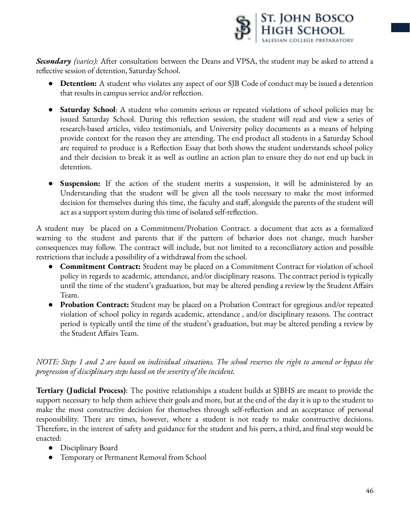

*Secondary (varies):* After consultation between the Deans and VPSA, the student may be asked to attend a reflective session of detention, Saturday School.

- **● Detention:** A student who violates any aspect of our SJB Code of conduct may be issued a detention that results in campus service and/or reflection.
- **● Saturday School**: A student who commits serious or repeated violations of school policies may be issued Saturday School. During this reflection session, the student will read and view a series of research-based articles, video testimonials, and University policy documents as a means of helping provide context for the reason they are attending. The end product all students in a Saturday School are required to produce is a Reflection Essay that both shows the student understands school policy and their decision to break it as well as outline an action plan to ensure they do not end up back in detention.
- **● Suspension:** If the action of the student merits a suspension, it will be administered by an Understanding that the student will be given all the tools necessary to make the most informed decision for themselves during this time, the faculty and staff, alongside the parents of the student will act as a support system during this time of isolated self-reflection.

A student may be placed on a Commitment/Probation Contract. a document that acts as a formalized warning to the student and parents that if the pattern of behavior does not change, much harsher consequences may follow. The contract will include, but not limited to a reconciliatory action and possible restrictions that include a possibility of a withdrawal from the school.

- **Commitment Contract:** Student may be placed on a Commitment Contract for violation of school policy in regards to academic, attendance, and/or disciplinary reasons. The contract period is typically until the time of the student's graduation, but may be altered pending a review by the Student Affairs Team.
- **Probation Contract:** Student may be placed on a Probation Contract for egregious and/or repeated violation of school policy in regards academic, attendance , and/or disciplinary reasons. The contract period is typically until the time of the student's graduation, but may be altered pending a review by the Student Affairs Team.

NOTE: Steps 1 and 2 are based on individual situations. The school reserves the right to amend or bypass the *progression of disciplinary steps based on the severity of the incident.*

**Tertiary (Judicial Process)**: The positive relationships a student builds at SJBHS are meant to provide the support necessary to help them achieve their goals and more, but at the end of the day it is up to the student to make the most constructive decision for themselves through self-reflection and an acceptance of personal responsibility. There are times, however, where a student is not ready to make constructive decisions. Therefore, in the interest of safety and guidance for the student and his peers, a third, and final step would be enacted:

- Disciplinary Board
- Temporary or Permanent Removal from School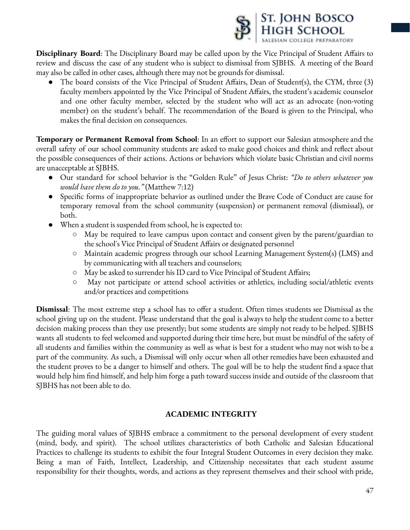

**Disciplinary Board**: The Disciplinary Board may be called upon by the Vice Principal of Student Affairs to review and discuss the case of any student who is subject to dismissal from SJBHS. A meeting of the Board may also be called in other cases, although there may not be grounds for dismissal.

The board consists of the Vice Principal of Student Affairs, Dean of Student(s), the CYM, three (3) faculty members appointed by the Vice Principal of Student Affairs, the student's academic counselor and one other faculty member, selected by the student who will act as an advocate (non-voting member) on the student's behalf. The recommendation of the Board is given to the Principal, who makes the final decision on consequences.

**Temporary or Permanent Removal from School**: In an effort to support our Salesian atmosphere and the overall safety of our school community students are asked to make good choices and think and reflect about the possible consequences of their actions. Actions or behaviors which violate basic Christian and civil norms are unacceptable at SJBHS.

- Our standard for school behavior is the "Golden Rule" of Jesus Christ: *"Do to others whatever you would have them do to you."* (Matthew 7:12)
- Specific forms of inappropriate behavior as outlined under the Brave Code of Conduct are cause for temporary removal from the school community (suspension) or permanent removal (dismissal), or both.
- When a student is suspended from school, he is expected to:
	- May be required to leave campus upon contact and consent given by the parent/guardian to the school's Vice Principal of Student Affairs or designated personnel
	- Maintain academic progress through our school Learning Management System(s) (LMS) and by communicating with all teachers and counselors;
	- May be asked to surrender his ID card to Vice Principal of Student Affairs;
	- May not participate or attend school activities or athletics, including social/athletic events and/or practices and competitions

**Dismissal**: The most extreme step a school has to offer a student. Often times students see Dismissal as the school giving up on the student. Please understand that the goal is always to help the student come to a better decision making process than they use presently; but some students are simply not ready to be helped. SJBHS wants all students to feel welcomed and supported during their time here, but must be mindful of the safety of all students and families within the community as well as what is best for a student who may not wish to be a part of the community. As such, a Dismissal will only occur when all other remedies have been exhausted and the student proves to be a danger to himself and others. The goal will be to help the student find a space that would help him find himself, and help him forge a path toward success inside and outside of the classroom that SJBHS has not been able to do.

# **ACADEMIC INTEGRITY**

The guiding moral values of SJBHS embrace a commitment to the personal development of every student (mind, body, and spirit). The school utilizes characteristics of both Catholic and Salesian Educational Practices to challenge its students to exhibit the four Integral Student Outcomes in every decision they make. Being a man of Faith, Intellect, Leadership, and Citizenship necessitates that each student assume responsibility for their thoughts, words, and actions as they represent themselves and their school with pride,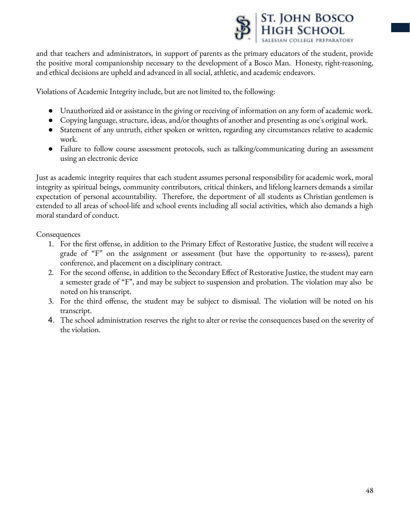

and that teachers and administrators, in support of parents as the primary educators of the student, provide the positive moral companionship necessary to the development of a Bosco Man. Honesty, right-reasoning, and ethical decisions are upheld and advanced in all social, athletic, and academic endeavors.

Violations of Academic Integrity include, but are not limited to, the following:

- Unauthorized aid or assistance in the giving or receiving of information on any form of academic work.
- Copying language, structure, ideas, and/or thoughts of another and presenting as one's original work.
- Statement of any untruth, either spoken or written, regarding any circumstances relative to academic work.
- Failure to follow course assessment protocols, such as talking/communicating during an assessment using an electronic device

Just as academic integrity requires that each student assumes personal responsibility for academic work, moral integrity as spiritual beings, community contributors, critical thinkers, and lifelong learners demands a similar expectation of personal accountability. Therefore, the deportment of all students as Christian gentlemen is extended to all areas of school-life and school events including all social activities, which also demands a high moral standard of conduct.

**Consequences** 

- 1. For the first offense, in addition to the Primary Effect of Restorative Justice, the student will receive a grade of "F" on the assignment or assessment (but have the opportunity to re-assess), parent conference, and placement on a disciplinary contract.
- 2. For the second offense, in addition to the Secondary Effect of Restorative Justice, the student may earn a semester grade of "F", and may be subject to suspension and probation. The violation may also be noted on his transcript.
- 3. For the third offense, the student may be subject to dismissal. The violation will be noted on his transcript.
- 4. The school administration reserves the right to alter or revise the consequences based on the severity of the violation.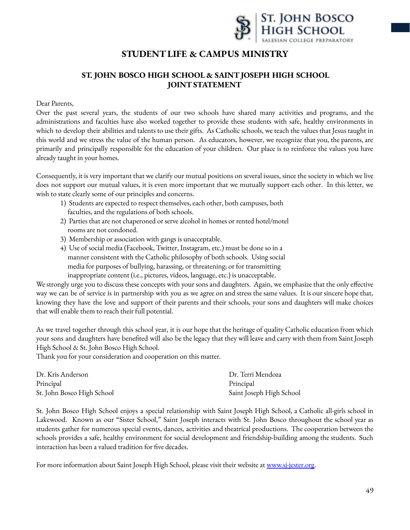

# **STUDENTLIFE & CAMPUS MINISTRY**

# **ST. JOHN BOSCO HIGH SCHOOL & SAINTJOSEPH HIGH SCHOOL JOINTSTATEMENT**

#### Dear Parents,

Over the past several years, the students of our two schools have shared many activities and programs, and the administrations and faculties have also worked together to provide these students with safe, healthy environments in which to develop their abilities and talents to use their gifts. As Catholic schools, we teach the values that Jesus taught in this world and we stress the value of the human person. As educators, however, we recognize that you, the parents, are primarily and principally responsible for the education of your children. Our place is to reinforce the values you have already taught in your homes.

Consequently, it is very important that we clarify our mutual positions on several issues, since the society in which we live does not support our mutual values, it is even more important that we mutually support each other. In this letter, we wish to state clearly some of our principles and concerns.

- 1) Students are expected to respect themselves, each other, both campuses, both faculties, and the regulations of both schools.
- 2) Parties that are not chaperoned or serve alcohol in homes or rented hotel/motel rooms are not condoned.
- 3) Membership or association with gangs is unacceptable.
- 4) Use of social media (Facebook, Twitter, Instagram, etc.) must be done so in a manner consistent with the Catholic philosophy of both schools. Using social media for purposes of bullying, harassing, or threatening; or for transmitting inappropriate content (i.e., pictures, videos, language, etc.) is unacceptable.

We strongly urge you to discuss these concepts with your sons and daughters. Again, we emphasize that the only effective way we can be of service is in partnership with you as we agree on and stress the same values. It is our sincere hope that, knowing they have the love and support of their parents and their schools, your sons and daughters will make choices that will enable them to reach their full potential.

As we travel together through this school year, it is our hope that the heritage of quality Catholic education from which your sons and daughters have benefited will also be the legacy that they will leave and carry with them from Saint Joseph High School & St. John Bosco High School.

Thank you for your consideration and cooperation on this matter.

| Dr. Kris Anderson          | Dr. Terri Mendoza        |
|----------------------------|--------------------------|
| Principal                  | Principal                |
| St. John Bosco High School | Saint Joseph High School |

St. John Bosco High School enjoys a special relationship with Saint Joseph High School, a Catholic all-girls school in Lakewood. Known as our "Sister School," Saint Joseph interacts with St. John Bosco throughout the school year as students gather for numerous special events, dances, activities and theatrical productions. The cooperation between the schools provides a safe, healthy environment for social development and friendship-building among the students. Such interaction has been a valued tradition for five decades.

For more information about Saint Joseph High School, please visit their website at [www.sj-jester.org.](http://www.sj-jester.org)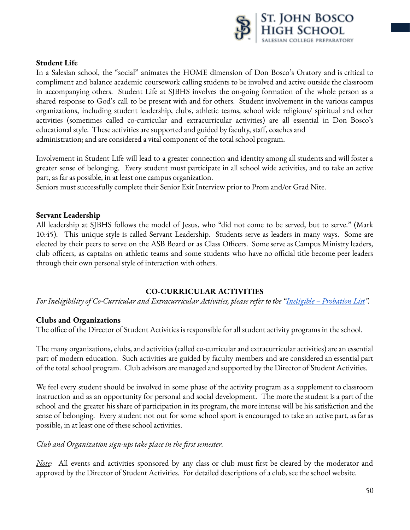

#### **Student Life**

In a Salesian school, the "social" animates the HOME dimension of Don Bosco's Oratory and is critical to compliment and balance academic coursework calling students to be involved and active outside the classroom in accompanying others. Student Life at SJBHS involves the on-going formation of the whole person as a shared response to God's call to be present with and for others. Student involvement in the various campus organizations, including student leadership, clubs, athletic teams, school wide religious/ spiritual and other activities (sometimes called co-curricular and extracurricular activities) are all essential in Don Bosco's educational style. These activities are supported and guided by faculty, staff, coaches and administration; and are considered a vital component of the total school program.

Involvement in Student Life will lead to a greater connection and identity among all students and will foster a greater sense of belonging. Every student must participate in all school wide activities, and to take an active part, as far as possible, in at least one campus organization.

Seniors must successfully complete their Senior Exit Interview prior to Prom and/or Grad Nite.

#### **Servant Leadership**

All leadership at SJBHS follows the model of Jesus, who "did not come to be served, but to serve." (Mark 10:45). This unique style is called Servant Leadership. Students serve as leaders in many ways. Some are elected by their peers to serve on the ASB Board or as Class Officers. Some serve as Campus Ministry leaders, club officers, as captains on athletic teams and some students who have no official title become peer leaders through their own personal style of interaction with others.

### **CO-CURRICULAR ACTIVITIES**

*For Ineligibility of Co-Curricular and Extracurricular Activities, please refer to the "Ineligible – Probation List".*

### **Clubs and Organizations**

The office of the Director of Student Activities is responsible for all student activity programs in the school.

The many organizations, clubs, and activities (called co-curricular and extracurricular activities) are an essential part of modern education. Such activities are guided by faculty members and are considered an essential part of the total school program. Club advisors are managed and supported by the Director of Student Activities.

We feel every student should be involved in some phase of the activity program as a supplement to classroom instruction and as an opportunity for personal and social development. The more the student is a part of the school and the greater his share of participation in its program, the more intense will be his satisfaction and the sense of belonging. Every student not out for some school sport is encouraged to take an active part, as far as possible, in at least one of these school activities.

### *Club and Organization sign-ups take place in the first semester.*

*Note*: All events and activities sponsored by any class or club must first be cleared by the moderator and approved by the Director of Student Activities. For detailed descriptions of a club, see the school website.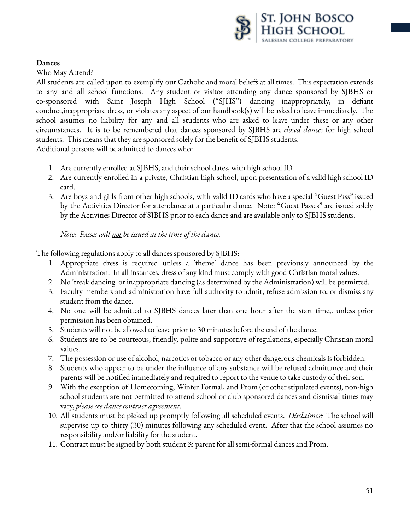

**Dances**

Who May Attend?

All students are called upon to exemplify our Catholic and moral beliefs at all times. This expectation extends to any and all school functions. Any student or visitor attending any dance sponsored by SJBHS or co-sponsored with Saint Joseph High School ("SJHS") dancing inappropriately, in defiant conduct,inappropriate dress, or violates any aspect of our handbook(s) will be asked to leave immediately. The school assumes no liability for any and all students who are asked to leave under these or any other circumstances. It is to be remembered that dances sponsored by SJBHS are *closed dances* for high school students. This means that they are sponsored solely for the benefit of SJBHS students. Additional persons will be admitted to dances who:

- 1. Are currently enrolled at SJBHS, and their school dates, with high school ID.
- 2. Are currently enrolled in a private, Christian high school, upon presentation of a valid high school ID card.
- 3. Are boys and girls from other high schools, with valid ID cards who have a special "Guest Pass" issued by the Activities Director for attendance at a particular dance. Note: "Guest Passes" are issued solely by the Activities Director of SJBHS prior to each dance and are available only to SJBHS students.

## *Note: Passes will not be issued at the time of the dance.*

The following regulations apply to all dances sponsored by SJBHS:

- 1. Appropriate dress is required unless a 'theme' dance has been previously announced by the Administration. In all instances, dress of any kind must comply with good Christian moral values.
- 2. No 'freak dancing' or inappropriate dancing (as determined by the Administration) will be permitted.
- 3. Faculty members and administration have full authority to admit, refuse admission to, or dismiss any student from the dance.
- 4. No one will be admitted to SJBHS dances later than one hour after the start time,. unless prior permission has been obtained.
- 5. Students will not be allowed to leave prior to 30 minutes before the end of the dance.
- 6. Students are to be courteous, friendly, polite and supportive of regulations, especially Christian moral values.
- 7. The possession or use of alcohol, narcotics or tobacco or any other dangerous chemicals is forbidden.
- 8. Students who appear to be under the influence of any substance will be refused admittance and their parents will be notified immediately and required to report to the venue to take custody of their son.
- 9. With the exception of Homecoming, Winter Formal, and Prom (or other stipulated events), non-high school students are not permitted to attend school or club sponsored dances and dismissal times may vary, *please see dance contract agreement*.
- 10. All students must be picked up promptly following all scheduled events. *Disclaimer:* The school will supervise up to thirty (30) minutes following any scheduled event. After that the school assumes no responsibility and/or liability for the student.
- 11. Contract must be signed by both student & parent for all semi-formal dances and Prom.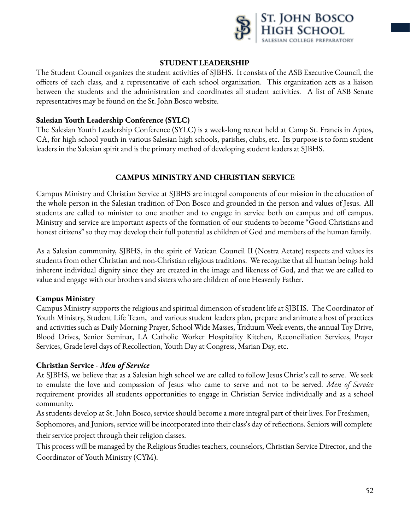

### **STUDENTLEADERSHIP**

The Student Council organizes the student activities of SJBHS. It consists of the ASB Executive Council, the officers of each class, and a representative of each school organization. This organization acts as a liaison between the students and the administration and coordinates all student activities. A list of ASB Senate representatives may be found on the St. John Bosco website.

#### **Salesian Youth Leadership Conference (SYLC)**

The Salesian Youth Leadership Conference (SYLC) is a week-long retreat held at Camp St. Francis in Aptos, CA, for high school youth in various Salesian high schools, parishes, clubs, etc. Its purpose is to form student leaders in the Salesian spirit and is the primary method of developing student leaders at SJBHS.

### **CAMPUS MINISTRY AND CHRISTIAN SERVICE**

Campus Ministry and Christian Service at SJBHS are integral components of our mission in the education of the whole person in the Salesian tradition of Don Bosco and grounded in the person and values of Jesus. All students are called to minister to one another and to engage in service both on campus and off campus. Ministry and service are important aspects of the formation of our students to become "Good Christians and honest citizens" so they may develop their full potential as children of God and members of the human family.

As a Salesian community, SJBHS, in the spirit of Vatican Council II (Nostra Aetate) respects and values its students from other Christian and non-Christian religious traditions. We recognize that all human beings hold inherent individual dignity since they are created in the image and likeness of God, and that we are called to value and engage with our brothers and sisters who are children of one Heavenly Father.

### **Campus Ministry**

Campus Ministry supports the religious and spiritual dimension of student life at SJBHS. The Coordinator of Youth Ministry, Student Life Team, and various student leaders plan, prepare and animate a host of practices and activities such as Daily Morning Prayer, School Wide Masses, Triduum Week events, the annual Toy Drive, Blood Drives, Senior Seminar, LA Catholic Worker Hospitality Kitchen, Reconciliation Services, Prayer Services, Grade level days of Recollection, Youth Day at Congress, Marian Day, etc.

### **Christian Service -** *Men of Service*

At SJBHS, we believe that as a Salesian high school we are called to follow Jesus Christ's call to serve. We seek to emulate the love and compassion of Jesus who came to serve and not to be served. *Men of Service* requirement provides all students opportunities to engage in Christian Service individually and as a school community.

As students develop at St. John Bosco, service should become a more integral part of their lives. For Freshmen,

Sophomores, and Juniors, service will be incorporated into their class's day of reflections. Seniors will complete their service project through their religion classes.

This process will be managed by the Religious Studies teachers, counselors, Christian Service Director, and the Coordinator of Youth Ministry (CYM).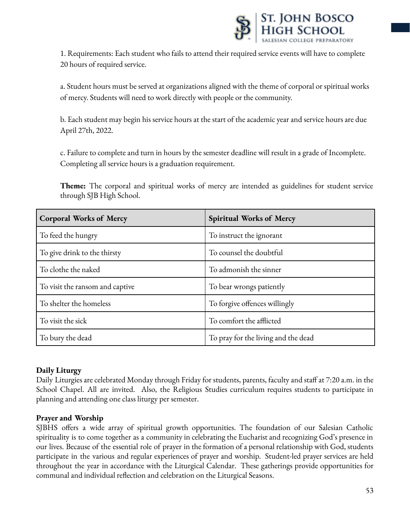

1. Requirements: Each student who fails to attend their required service events will have to complete 20 hours of required service.

a. Student hours must be served at organizations aligned with the theme of corporal or spiritual works of mercy. Students will need to work directly with people or the community.

b. Each student may begin his service hours at the start of the academic year and service hours are due April 27th, 2022.

c. Failure to complete and turn in hours by the semester deadline will result in a grade of Incomplete. Completing all service hours is a graduation requirement.

**Theme:** The corporal and spiritual works of mercy are intended as guidelines for student service through SJB High School.

| <b>Corporal Works of Mercy</b>  | <b>Spiritual Works of Mercy</b>     |  |
|---------------------------------|-------------------------------------|--|
| To feed the hungry              | To instruct the ignorant            |  |
| To give drink to the thirsty    | To counsel the doubtful             |  |
| To clothe the naked             | To admonish the sinner              |  |
| To visit the ransom and captive | To bear wrongs patiently            |  |
| To shelter the homeless         | To forgive offences willingly       |  |
| To visit the sick               | To comfort the afflicted            |  |
| To bury the dead                | To pray for the living and the dead |  |

### **Daily Liturgy**

Daily Liturgies are celebrated Monday through Friday for students, parents, faculty and staff at 7:20 a.m. in the School Chapel. All are invited. Also, the Religious Studies curriculum requires students to participate in planning and attending one class liturgy per semester.

## **Prayer and Worship**

SJBHS offers a wide array of spiritual growth opportunities. The foundation of our Salesian Catholic spirituality is to come together as a community in celebrating the Eucharist and recognizing God's presence in our lives. Because of the essential role of prayer in the formation of a personal relationship with God, students participate in the various and regular experiences of prayer and worship. Student-led prayer services are held throughout the year in accordance with the Liturgical Calendar. These gatherings provide opportunities for communal and individual reflection and celebration on the Liturgical Seasons.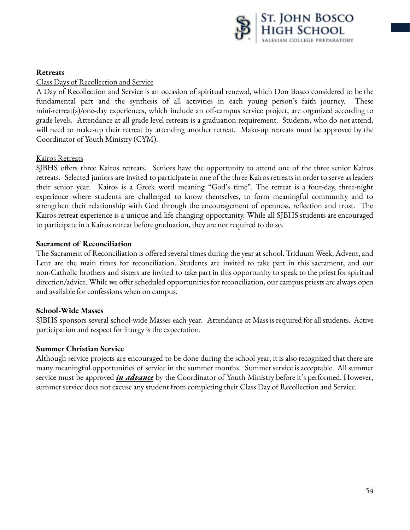

### **Retreats**

Class Days of Recollection and Service

A Day of Recollection and Service is an occasion of spiritual renewal, which Don Bosco considered to be the fundamental part and the synthesis of all activities in each young person's faith journey. These mini-retreat(s)/one-day experiences, which include an off-campus service project, are organized according to grade levels. Attendance at all grade level retreats is a graduation requirement. Students, who do not attend, will need to make-up their retreat by attending another retreat. Make-up retreats must be approved by the Coordinator of Youth Ministry (CYM).

### Kairos Retreats

SJBHS offers three Kairos retreats. Seniors have the opportunity to attend one of the three senior Kairos retreats. Selected juniors are invited to participate in one of the three Kairos retreats in order to serve as leaders their senior year. Kairos is a Greek word meaning "God's time". The retreat is a four-day, three-night experience where students are challenged to know themselves, to form meaningful community and to strengthen their relationship with God through the encouragement of openness, reflection and trust. The Kairos retreat experience is a unique and life changing opportunity. While all SJBHS students are encouraged to participate in a Kairos retreat before graduation, they are not required to do so.

#### **Sacrament of Reconciliation**

The Sacrament of Reconciliation is offered several times during the year at school. Triduum Week, Advent, and Lent are the main times for reconciliation. Students are invited to take part in this sacrament, and our non-Catholic brothers and sisters are invited to take part in this opportunity to speak to the priest for spiritual direction/advice. While we offer scheduled opportunities for reconciliation, our campus priests are always open and available for confessions when on campus.

#### **School-Wide Masses**

SJBHS sponsors several school-wide Masses each year. Attendance at Mass is required for all students. Active participation and respect for liturgy is the expectation.

#### **Summer Christian Service**

Although service projects are encouraged to be done during the school year, it is also recognized that there are many meaningful opportunities of service in the summer months. Summer service is acceptable. All summer service must be approved *in advance* by the Coordinator of Youth Ministry before it's performed. However, summer service does not excuse any student from completing their Class Day of Recollection and Service.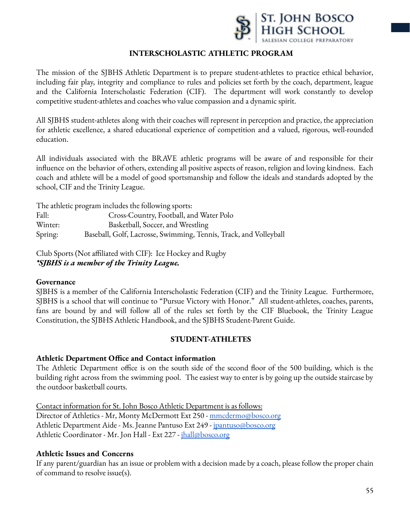

### **INTERSCHOLASTIC ATHLETIC PROGRAM**

The mission of the SJBHS Athletic Department is to prepare student-athletes to practice ethical behavior, including fair play, integrity and compliance to rules and policies set forth by the coach, department, league and the California Interscholastic Federation (CIF). The department will work constantly to develop competitive student-athletes and coaches who value compassion and a dynamic spirit.

All SJBHS student-athletes along with their coaches will represent in perception and practice, the appreciation for athletic excellence, a shared educational experience of competition and a valued, rigorous, well-rounded education.

All individuals associated with the BRAVE athletic programs will be aware of and responsible for their influence on the behavior of others, extending all positive aspects of reason, religion and loving kindness. Each coach and athlete will be a model of good sportsmanship and follow the ideals and standards adopted by the school, CIF and the Trinity League.

The athletic program includes the following sports: Fall: Cross-Country, Football, and Water Polo Winter: Basketball, Soccer, and Wrestling Spring: Baseball, Golf, Lacrosse, Swimming, Tennis, Track, and Volleyball

Club Sports (Not affiliated with CIF): Ice Hockey and Rugby *\*SJBHS is a member of the Trinity League.*

### **Governance**

SJBHS is a member of the California Interscholastic Federation (CIF) and the Trinity League. Furthermore, SJBHS is a school that will continue to "Pursue Victory with Honor." All student-athletes, coaches, parents, fans are bound by and will follow all of the rules set forth by the CIF Bluebook, the Trinity League Constitution, the SJBHS Athletic Handbook, and the SJBHS Student-Parent Guide.

### **STUDENT-ATHLETES**

### **Athletic Department Office and Contact information**

The Athletic Department office is on the south side of the second floor of the 500 building, which is the building right across from the swimming pool. The easiest way to enter is by going up the outside staircase by the outdoor basketball courts.

Contact information for St. John Bosco Athletic Department is as follows:

Director of Athletics - Mr, Monty McDermott Ext 250 - [mmcdermo@bosco.org](mailto:mmcdermo@bosco.org) Athletic Department Aide - Ms. Jeanne Pantuso Ext 249 - [jpantuso@bosco.org](mailto:jpantuso@bosco.org) Athletic Coordinator - Mr. Jon Hall - Ext 227 - *[jhall@bosco.org](mailto:jhall@bosco.org)* 

### **Athletic Issues and Concerns**

If any parent/guardian has an issue or problem with a decision made by a coach, please follow the proper chain of command to resolve issue(s).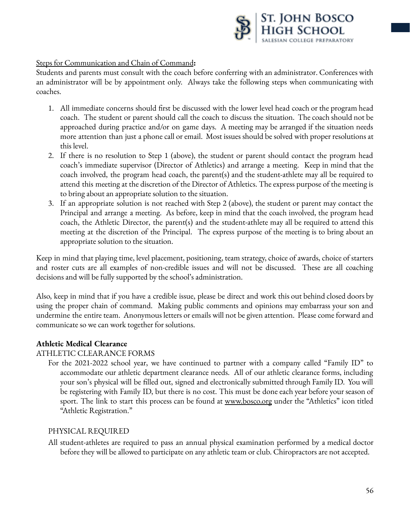

### Steps for Communication and Chain of Command**:**

Students and parents must consult with the coach before conferring with an administrator. Conferences with an administrator will be by appointment only. Always take the following steps when communicating with coaches.

- 1. All immediate concerns should first be discussed with the lower level head coach or the program head coach. The student or parent should call the coach to discuss the situation. The coach should not be approached during practice and/or on game days. A meeting may be arranged if the situation needs more attention than just a phone call or email. Most issues should be solved with proper resolutions at this level.
- 2. If there is no resolution to Step 1 (above), the student or parent should contact the program head coach's immediate supervisor (Director of Athletics) and arrange a meeting. Keep in mind that the coach involved, the program head coach, the parent(s) and the student-athlete may all be required to attend this meeting at the discretion of the Director of Athletics. The express purpose of the meeting is to bring about an appropriate solution to the situation.
- 3. If an appropriate solution is not reached with Step 2 (above), the student or parent may contact the Principal and arrange a meeting. As before, keep in mind that the coach involved, the program head coach, the Athletic Director, the parent(s) and the student-athlete may all be required to attend this meeting at the discretion of the Principal. The express purpose of the meeting is to bring about an appropriate solution to the situation.

Keep in mind that playing time, level placement, positioning, team strategy, choice of awards, choice of starters and roster cuts are all examples of non-credible issues and will not be discussed. These are all coaching decisions and will be fully supported by the school's administration.

Also, keep in mind that if you have a credible issue, please be direct and work this out behind closed doors by using the proper chain of command. Making public comments and opinions may embarrass your son and undermine the entire team. Anonymous letters or emails will not be given attention. Please come forward and communicate so we can work together for solutions.

### **Athletic Medical Clearance**

### ATHLETIC CLEARANCE FORMS

For the 2021-2022 school year, we have continued to partner with a company called "Family ID" to accommodate our athletic department clearance needs. All of our athletic clearance forms, including your son's physical will be filled out, signed and electronically submitted through Family ID. You will be registering with Family ID, but there is no cost. This must be done each year before your season of sport. The link to start this process can be found at [www.bosco.org](http://www.bosco.org/) under the "Athletics" icon titled "Athletic Registration."

#### PHYSICAL REQUIRED

All student-athletes are required to pass an annual physical examination performed by a medical doctor before they will be allowed to participate on any athletic team or club. Chiropractors are not accepted.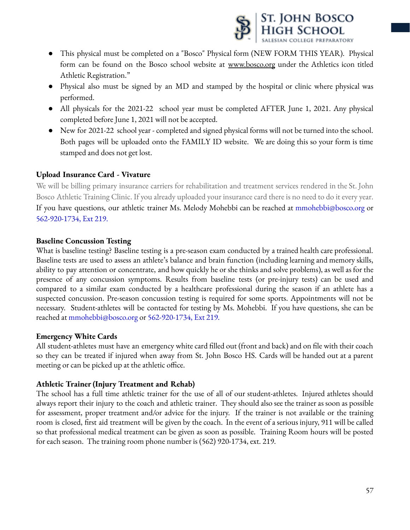

- This physical must be completed on a "Bosco" Physical form (NEW FORM THIS YEAR). Physical form can be found on the Bosco school website at [www.bosco.org](http://www.bosco.org) under the Athletics icon titled Athletic Registration."
- Physical also must be signed by an MD and stamped by the hospital or clinic where physical was performed.
- All physicals for the 2021-22 school year must be completed AFTER June 1, 2021. Any physical completed before June 1, 2021 will not be accepted.
- New for 2021-22 school year completed and signed physical forms will not be turned into the school. Both pages will be uploaded onto the FAMILY ID website. We are doing this so your form is time stamped and does not get lost.

## **Upload Insurance Card - Vivature**

We will be billing primary insurance carriers for rehabilitation and treatment services rendered in the St. John Bosco Athletic Training Clinic. If you already uploaded your insurance card there is no need to do it every year. If you have questions, our athletic trainer Ms. Melody Mohebbi can be reached at mmohebbi@bosco.org or 562-920-1734, Ext 219.

### **Baseline Concussion Testing**

What is baseline testing? Baseline testing is a pre-season exam conducted by a trained health care professional. Baseline tests are used to assess an athlete's balance and brain function (including learning and memory skills, ability to pay attention or concentrate, and how quickly he or she thinks and solve problems), as well as for the presence of any concussion symptoms. Results from baseline tests (or pre-injury tests) can be used and compared to a similar exam conducted by a healthcare professional during the season if an athlete has a suspected concussion. Pre-season concussion testing is required for some sports. Appointments will not be necessary. Student-athletes will be contacted for testing by Ms. Mohebbi. If you have questions, she can be reached at mmohebbi@bosco.org or 562-920-1734, Ext 219.

### **Emergency White Cards**

All student-athletes must have an emergency white card filled out (front and back) and on file with their coach so they can be treated if injured when away from St. John Bosco HS. Cards will be handed out at a parent meeting or can be picked up at the athletic office.

### **Athletic Trainer (Injury Treatment and Rehab)**

The school has a full time athletic trainer for the use of all of our student-athletes. Injured athletes should always report their injury to the coach and athletic trainer. They should also see the trainer as soon as possible for assessment, proper treatment and/or advice for the injury. If the trainer is not available or the training room is closed, first aid treatment will be given by the coach. In the event of a serious injury, 911 will be called so that professional medical treatment can be given as soon as possible. Training Room hours will be posted for each season. The training room phone number is (562) 920-1734, ext. 219.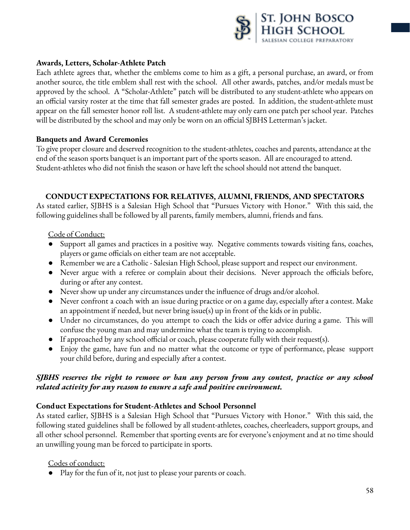

### **Awards, Letters, Scholar-Athlete Patch**

Each athlete agrees that, whether the emblems come to him as a gift, a personal purchase, an award, or from another source, the title emblem shall rest with the school. All other awards, patches, and/or medals must be approved by the school. A "Scholar-Athlete" patch will be distributed to any student-athlete who appears on an official varsity roster at the time that fall semester grades are posted. In addition, the student-athlete must appear on the fall semester honor roll list. A student-athlete may only earn one patch per school year. Patches will be distributed by the school and may only be worn on an official SJBHS Letterman's jacket.

#### **Banquets and Award Ceremonies**

To give proper closure and deserved recognition to the student-athletes, coaches and parents, attendance at the end of the season sports banquet is an important part of the sports season. All are encouraged to attend. Student-athletes who did not finish the season or have left the school should not attend the banquet.

### **CONDUCTEXPECTATIONS FOR RELATIVES, ALUMNI, FRIENDS, AND SPECTATORS**

As stated earlier, SJBHS is a Salesian High School that "Pursues Victory with Honor." With this said, the following guidelines shall be followed by all parents, family members, alumni, friends and fans.

#### Code of Conduct:

- Support all games and practices in a positive way. Negative comments towards visiting fans, coaches, players or game officials on either team are not acceptable.
- Remember we are a Catholic Salesian High School, please support and respect our environment.
- Never argue with a referee or complain about their decisions. Never approach the officials before, during or after any contest.
- Never show up under any circumstances under the influence of drugs and/or alcohol.
- Never confront a coach with an issue during practice or on a game day, especially after a contest. Make an appointment if needed, but never bring issue(s) up in front of the kids or in public.
- Under no circumstances, do you attempt to coach the kids or offer advice during a game. This will confuse the young man and may undermine what the team is trying to accomplish.
- If approached by any school official or coach, please cooperate fully with their request(s).
- Enjoy the game, have fun and no matter what the outcome or type of performance, please support your child before, during and especially after a contest.

### *SJBHS reserves the right to remove or ban any person from any contest, practice or any school related activity for any reason to ensure a safe and positive environment.*

### **Conduct Expectations for Student-Athletes and School Personnel**

As stated earlier, SJBHS is a Salesian High School that "Pursues Victory with Honor." With this said, the following stated guidelines shall be followed by all student-athletes, coaches, cheerleaders, support groups, and all other school personnel. Remember that sporting events are for everyone's enjoyment and at no time should an unwilling young man be forced to participate in sports.

#### Codes of conduct:

● Play for the fun of it, not just to please your parents or coach.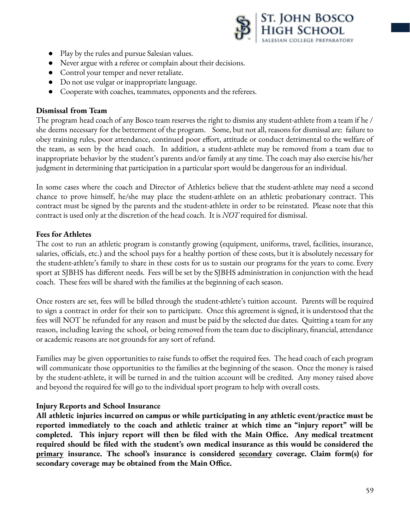

- Play by the rules and pursue Salesian values.
- Never argue with a referee or complain about their decisions.
- Control your temper and never retaliate.
- Do not use vulgar or inappropriate language.
- Cooperate with coaches, teammates, opponents and the referees.

#### **Dismissal from Team**

The program head coach of any Bosco team reserves the right to dismiss any student-athlete from a team if he / she deems necessary for the betterment of the program. Some, but not all, reasons for dismissal are: failure to obey training rules, poor attendance, continued poor effort, attitude or conduct detrimental to the welfare of the team, as seen by the head coach. In addition, a student-athlete may be removed from a team due to inappropriate behavior by the student's parents and/or family at any time. The coach may also exercise his/her judgment in determining that participation in a particular sport would be dangerous for an individual.

In some cases where the coach and Director of Athletics believe that the student-athlete may need a second chance to prove himself, he/she may place the student-athlete on an athletic probationary contract. This contract must be signed by the parents and the student-athlete in order to be reinstated. Please note that this contract is used only at the discretion of the head coach. It is *NOT* required for dismissal.

### **Fees for Athletes**

The cost to run an athletic program is constantly growing (equipment, uniforms, travel, facilities, insurance, salaries, officials, etc.) and the school pays for a healthy portion of these costs, but it is absolutely necessary for the student-athlete's family to share in these costs for us to sustain our programs for the years to come. Every sport at SJBHS has different needs. Fees will be set by the SJBHS administration in conjunction with the head coach. These fees will be shared with the families at the beginning of each season.

Once rosters are set, fees will be billed through the student-athlete's tuition account. Parents will be required to sign a contract in order for their son to participate. Once this agreement is signed, it is understood that the fees will NOT be refunded for any reason and must be paid by the selected due dates. Quitting a team for any reason, including leaving the school, or being removed from the team due to disciplinary, financial, attendance or academic reasons are not grounds for any sort of refund.

Families may be given opportunities to raise funds to offset the required fees. The head coach of each program will communicate those opportunities to the families at the beginning of the season. Once the money is raised by the student-athlete, it will be turned in and the tuition account will be credited. Any money raised above and beyond the required fee will go to the individual sport program to help with overall costs.

### **Injury Reports and School Insurance**

**All athletic injuries incurred on campus or while participating in any athletic event/practice must be reported immediately to the coach and athletic trainer at which time an "injury report" will be completed. This injury report will then be filed with the Main Office. Any medical treatment required should be filed with the student's own medical insurance as this would be considered the primary insurance. The school's insurance is considered secondary coverage. Claim form(s) for secondary coverage may be obtained from the Main Office.**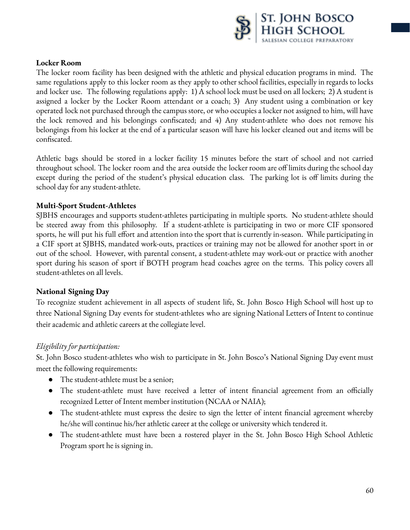

### **Locker Room**

The locker room facility has been designed with the athletic and physical education programs in mind. The same regulations apply to this locker room as they apply to other school facilities, especially in regards to locks and locker use. The following regulations apply: 1) A school lock must be used on all lockers; 2) A student is assigned a locker by the Locker Room attendant or a coach; 3) Any student using a combination or key operated lock not purchased through the campus store, or who occupies a locker not assigned to him, will have the lock removed and his belongings confiscated; and 4) Any student-athlete who does not remove his belongings from his locker at the end of a particular season will have his locker cleaned out and items will be confiscated.

Athletic bags should be stored in a locker facility 15 minutes before the start of school and not carried throughout school. The locker room and the area outside the locker room are off limits during the school day except during the period of the student's physical education class. The parking lot is off limits during the school day for any student-athlete.

## **Multi-Sport Student-Athletes**

SJBHS encourages and supports student-athletes participating in multiple sports. No student-athlete should be steered away from this philosophy. If a student-athlete is participating in two or more CIF sponsored sports, he will put his full effort and attention into the sport that is currently in-season. While participating in a CIF sport at SJBHS, mandated work-outs, practices or training may not be allowed for another sport in or out of the school. However, with parental consent, a student-athlete may work-out or practice with another sport during his season of sport if BOTH program head coaches agree on the terms. This policy covers all student-athletes on all levels.

## **National Signing Day**

To recognize student achievement in all aspects of student life, St. John Bosco High School will host up to three National Signing Day events for student-athletes who are signing National Letters of Intent to continue their academic and athletic careers at the collegiate level.

## *Eligibility for participation:*

St. John Bosco student-athletes who wish to participate in St. John Bosco's National Signing Day event must meet the following requirements:

- The student-athlete must be a senior;
- The student-athlete must have received a letter of intent financial agreement from an officially recognized Letter of Intent member institution (NCAA or NAIA);
- The student-athlete must express the desire to sign the letter of intent financial agreement whereby he/she will continue his/her athletic career at the college or university which tendered it.
- The student-athlete must have been a rostered player in the St. John Bosco High School Athletic Program sport he is signing in.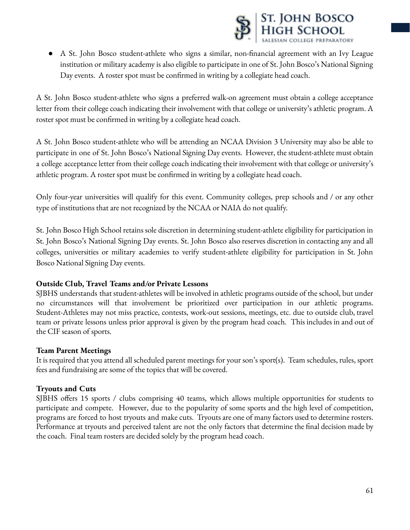

● A St. John Bosco student-athlete who signs a similar, non-financial agreement with an Ivy League institution or military academy is also eligible to participate in one of St. John Bosco's National Signing Day events. A roster spot must be confirmed in writing by a collegiate head coach.

A St. John Bosco student-athlete who signs a preferred walk-on agreement must obtain a college acceptance letter from their college coach indicating their involvement with that college or university's athletic program. A roster spot must be confirmed in writing by a collegiate head coach.

A St. John Bosco student-athlete who will be attending an NCAA Division 3 University may also be able to participate in one of St. John Bosco's National Signing Day events. However, the student-athlete must obtain a college acceptance letter from their college coach indicating their involvement with that college or university's athletic program. A roster spot must be confirmed in writing by a collegiate head coach.

Only four-year universities will qualify for this event. Community colleges, prep schools and / or any other type of institutions that are not recognized by the NCAA or NAIA do not qualify.

St. John Bosco High School retains sole discretion in determining student-athlete eligibility for participation in St. John Bosco's National Signing Day events. St. John Bosco also reserves discretion in contacting any and all colleges, universities or military academies to verify student-athlete eligibility for participation in St. John Bosco National Signing Day events.

### **Outside Club, Travel Teams and/or Private Lessons**

SJBHS understands that student-athletes will be involved in athletic programs outside of the school, but under no circumstances will that involvement be prioritized over participation in our athletic programs. Student-Athletes may not miss practice, contests, work-out sessions, meetings, etc. due to outside club, travel team or private lessons unless prior approval is given by the program head coach. This includes in and out of the CIF season of sports.

### **Team Parent Meetings**

It is required that you attend all scheduled parent meetings for your son's sport(s). Team schedules, rules, sport fees and fundraising are some of the topics that will be covered.

### **Tryouts and Cuts**

SJBHS offers 15 sports / clubs comprising 40 teams, which allows multiple opportunities for students to participate and compete. However, due to the popularity of some sports and the high level of competition, programs are forced to host tryouts and make cuts. Tryouts are one of many factors used to determine rosters. Performance at tryouts and perceived talent are not the only factors that determine the final decision made by the coach. Final team rosters are decided solely by the program head coach.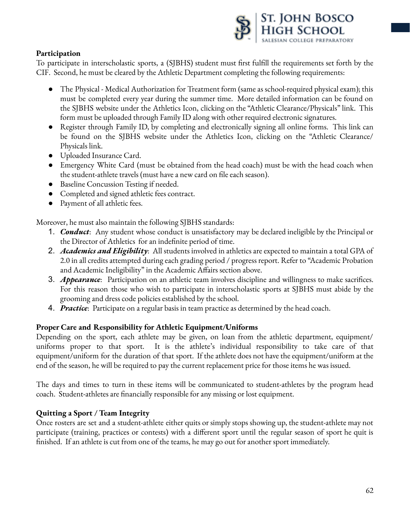

## **Participation**

To participate in interscholastic sports, a (SJBHS) student must first fulfill the requirements set forth by the CIF. Second, he must be cleared by the Athletic Department completing the following requirements:

- The Physical Medical Authorization for Treatment form (same as school-required physical exam); this must be completed every year during the summer time. More detailed information can be found on the SJBHS website under the Athletics Icon, clicking on the "Athletic Clearance/Physicals" link. This form must be uploaded through Family ID along with other required electronic signatures.
- Register through Family ID, by completing and electronically signing all online forms. This link can be found on the SJBHS website under the Athletics Icon, clicking on the "Athletic Clearance/ Physicals link.
- Uploaded Insurance Card.
- Emergency White Card (must be obtained from the head coach) must be with the head coach when the student-athlete travels (must have a new card on file each season).
- Baseline Concussion Testing if needed.
- Completed and signed athletic fees contract.
- Payment of all athletic fees.

Moreover, he must also maintain the following SJBHS standards:

- 1. *Conduct*: Any student whose conduct is unsatisfactory may be declared ineligible by the Principal or the Director of Athletics for an indefinite period of time.
- 2. *Academics and Eligibility*: All students involved in athletics are expected to maintain a total GPA of 2.0 in all credits attempted during each grading period / progress report. Refer to "Academic Probation and Academic Ineligibility" in the Academic Affairs section above.
- 3. *Appearance*: Participation on an athletic team involves discipline and willingness to make sacrifices. For this reason those who wish to participate in interscholastic sports at SJBHS must abide by the grooming and dress code policies established by the school.
- 4. *Practice*: Participate on a regular basis in team practice as determined by the head coach.

### **Proper Care and Responsibility for Athletic Equipment/Uniforms**

Depending on the sport, each athlete may be given, on loan from the athletic department, equipment/ uniforms proper to that sport. It is the athlete's individual responsibility to take care of that equipment/uniform for the duration of that sport. If the athlete does not have the equipment/uniform at the end of the season, he will be required to pay the current replacement price for those items he was issued.

The days and times to turn in these items will be communicated to student-athletes by the program head coach. Student-athletes are financially responsible for any missing or lost equipment.

## **Quitting a Sport / Team Integrity**

Once rosters are set and a student-athlete either quits or simply stops showing up, the student-athlete may not participate (training, practices or contests) with a different sport until the regular season of sport he quit is finished. If an athlete is cut from one of the teams, he may go out for another sport immediately.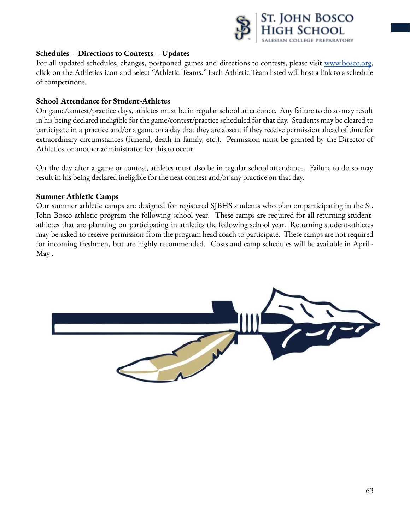

#### **Schedules – Directions to Contests – Updates**

For all updated schedules, changes, postponed games and directions to contests, please visit [www.bosco.org,](http://www.bosco.org) click on the Athletics icon and select "Athletic Teams." Each Athletic Team listed will host a link to a schedule of competitions.

#### **School Attendance for Student-Athletes**

On game/contest/practice days, athletes must be in regular school attendance. Any failure to do so may result in his being declared ineligible for the game/contest/practice scheduled for that day. Students may be cleared to participate in a practice and/or a game on a day that they are absent if they receive permission ahead of time for extraordinary circumstances (funeral, death in family, etc.). Permission must be granted by the Director of Athletics or another administrator for this to occur.

On the day after a game or contest, athletes must also be in regular school attendance. Failure to do so may result in his being declared ineligible for the next contest and/or any practice on that day.

#### **Summer Athletic Camps**

Our summer athletic camps are designed for registered SJBHS students who plan on participating in the St. John Bosco athletic program the following school year. These camps are required for all returning studentathletes that are planning on participating in athletics the following school year. Returning student-athletes may be asked to receive permission from the program head coach to participate. These camps are not required for incoming freshmen, but are highly recommended. Costs and camp schedules will be available in April - May .

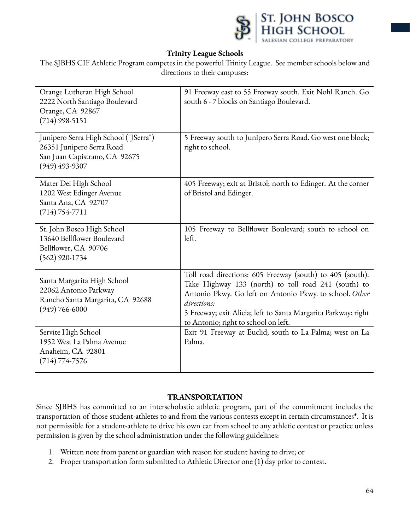

## **Trinity League Schools**

The SJBHS CIF Athletic Program competes in the powerful Trinity League. See member schools below and directions to their campuses:

| Orange Lutheran High School<br>2222 North Santiago Boulevard<br>Orange, CA 92867<br>$(714)$ 998-5151                    | 91 Freeway east to 55 Freeway south. Exit Nohl Ranch. Go<br>south 6 - 7 blocks on Santiago Boulevard.                                                                                                                                                                                                 |  |  |
|-------------------------------------------------------------------------------------------------------------------------|-------------------------------------------------------------------------------------------------------------------------------------------------------------------------------------------------------------------------------------------------------------------------------------------------------|--|--|
| Junipero Serra High School ("JSerra")<br>26351 Junipero Serra Road<br>San Juan Capistrano, CA 92675<br>$(949)$ 493-9307 | 5 Freeway south to Junipero Serra Road. Go west one block;<br>right to school.                                                                                                                                                                                                                        |  |  |
| Mater Dei High School<br>1202 West Edinger Avenue<br>Santa Ana, CA 92707<br>$(714) 754 - 7711$                          | 405 Freeway; exit at Bristol; north to Edinger. At the corner<br>of Bristol and Edinger.                                                                                                                                                                                                              |  |  |
| St. John Bosco High School<br>13640 Bellflower Boulevard<br>Bellflower, CA 90706<br>$(562)$ 920-1734                    | 105 Freeway to Bellflower Boulevard; south to school on<br>left.                                                                                                                                                                                                                                      |  |  |
| Santa Margarita High School<br>22062 Antonio Parkway<br>Rancho Santa Margarita, CA 92688<br>$(949) 766 - 6000$          | Toll road directions: 605 Freeway (south) to 405 (south).<br>Take Highway 133 (north) to toll road 241 (south) to<br>Antonio Pkwy. Go left on Antonio Pkwy. to school. Other<br>directions:<br>5 Freeway; exit Alicia; left to Santa Margarita Parkway; right<br>to Antonio; right to school on left. |  |  |
| Servite High School<br>1952 West La Palma Avenue<br>Anaheim, CA 92801<br>$(714) 774 - 7576$                             | Exit 91 Freeway at Euclid; south to La Palma; west on La<br>Palma.                                                                                                                                                                                                                                    |  |  |

### **TRANSPORTATION**

Since SJBHS has committed to an interscholastic athletic program, part of the commitment includes the transportation of those student-athletes to and from the various contests except in certain circumstances**\***. It is not permissible for a student-athlete to drive his own car from school to any athletic contest or practice unless permission is given by the school administration under the following guidelines:

- 1. Written note from parent or guardian with reason for student having to drive; or
- 2. Proper transportation form submitted to Athletic Director one (1) day prior to contest.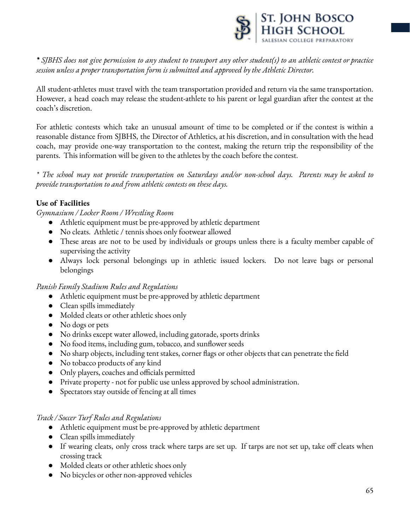

 $*$  SJBHS does not give permission to any student to transport any other student(s) to an athletic contest or practice *session unless a proper transportation form is submitted and approved by the Athletic Director.*

All student-athletes must travel with the team transportation provided and return via the same transportation. However, a head coach may release the student-athlete to his parent or legal guardian after the contest at the coach's discretion.

For athletic contests which take an unusual amount of time to be completed or if the contest is within a reasonable distance from SJBHS, the Director of Athletics, at his discretion, and in consultation with the head coach, may provide one-way transportation to the contest, making the return trip the responsibility of the parents. This information will be given to the athletes by the coach before the contest.

*\* The school may not provide transportation on Saturdays and/or non-school days. Parents may be asked to provide transportation to and from athletic contests on these days.*

## **Use of Facilities**

*Gymnasium / Locker Room / Wrestling Room*

- Athletic equipment must be pre-approved by athletic department
- No cleats. Athletic / tennis shoes only footwear allowed
- These areas are not to be used by individuals or groups unless there is a faculty member capable of supervising the activity
- Always lock personal belongings up in athletic issued lockers. Do not leave bags or personal belongings

### *Panish Family Stadium Rules and Regulations*

- Athletic equipment must be pre-approved by athletic department
- Clean spills immediately
- Molded cleats or other athletic shoes only
- No dogs or pets
- No drinks except water allowed, including gatorade, sports drinks
- No food items, including gum, tobacco, and sunflower seeds
- No sharp objects, including tent stakes, corner flags or other objects that can penetrate the field
- No tobacco products of any kind
- Only players, coaches and officials permitted
- Private property not for public use unless approved by school administration.
- Spectators stay outside of fencing at all times

#### *Track / Soccer Turf Rules and Regulations*

- Athletic equipment must be pre-approved by athletic department
- Clean spills immediately
- If wearing cleats, only cross track where tarps are set up. If tarps are not set up, take off cleats when crossing track
- Molded cleats or other athletic shoes only
- No bicycles or other non-approved vehicles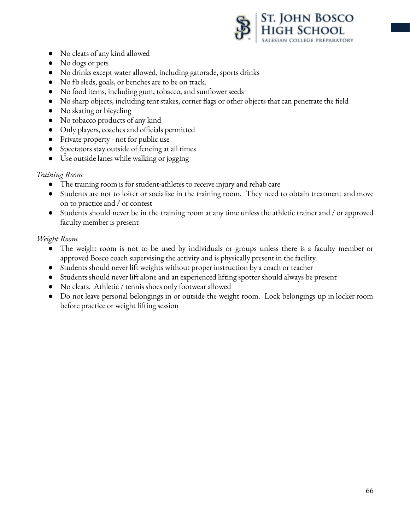

- No cleats of any kind allowed
- No dogs or pets
- No drinks except water allowed, including gatorade, sports drinks
- No fb sleds, goals, or benches are to be on track.
- No food items, including gum, tobacco, and sunflower seeds
- No sharp objects, including tent stakes, corner flags or other objects that can penetrate the field
- No skating or bicycling
- No tobacco products of any kind
- Only players, coaches and officials permitted
- Private property not for public use
- Spectators stay outside of fencing at all times
- Use outside lanes while walking or jogging

### *Training Room*

- The training room is for student-athletes to receive injury and rehab care
- Students are not to loiter or socialize in the training room. They need to obtain treatment and move on to practice and / or contest
- Students should never be in the training room at any time unless the athletic trainer and / or approved faculty member is present

## *Weight Room*

- The weight room is not to be used by individuals or groups unless there is a faculty member or approved Bosco coach supervising the activity and is physically present in the facility.
- Students should never lift weights without proper instruction by a coach or teacher
- Students should never lift alone and an experienced lifting spotter should always be present
- No cleats. Athletic / tennis shoes only footwear allowed
- Do not leave personal belongings in or outside the weight room. Lock belongings up in locker room before practice or weight lifting session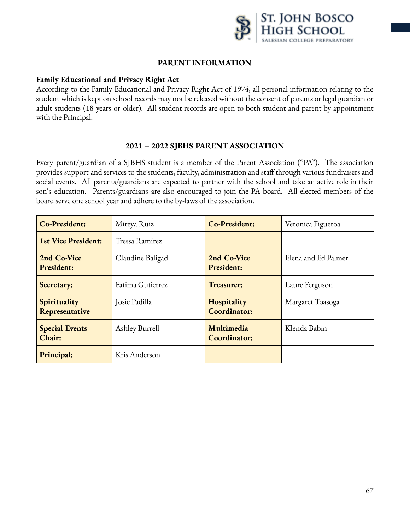

#### **PARENTINFORMATION**

#### **Family Educational and Privacy Right Act**

According to the Family Educational and Privacy Right Act of 1974, all personal information relating to the student which is kept on school records may not be released without the consent of parents or legal guardian or adult students (18 years or older). All student records are open to both student and parent by appointment with the Principal.

#### **2021 – 2022 SJBHS PARENT ASSOCIATION**

Every parent/guardian of a SJBHS student is a member of the Parent Association ("PA"). The association provides support and services to the students, faculty, administration and staff through various fundraisers and social events. All parents/guardians are expected to partner with the school and take an active role in their son's education. Parents/guardians are also encouraged to join the PA board. All elected members of the board serve one school year and adhere to the by-laws of the association.

| <b>Co-President:</b>             | Mireya Ruiz      | <b>Co-President:</b>               | Veronica Figueroa   |
|----------------------------------|------------------|------------------------------------|---------------------|
| <b>1st Vice President:</b>       | Tressa Ramirez   |                                    |                     |
| 2nd Co-Vice<br><b>President:</b> | Claudine Baligad | 2nd Co-Vice<br><b>President:</b>   | Elena and Ed Palmer |
| Secretary:                       | Fatima Gutierrez | Treasurer:                         | Laure Ferguson      |
| Spirituality<br>Representative   | Josie Padilla    | Hospitality<br><b>Coordinator:</b> | Margaret Toasoga    |
| <b>Special Events</b><br>Chair:  | Ashley Burrell   | Multimedia<br><b>Coordinator:</b>  | Klenda Babin        |
| Principal:                       | Kris Anderson    |                                    |                     |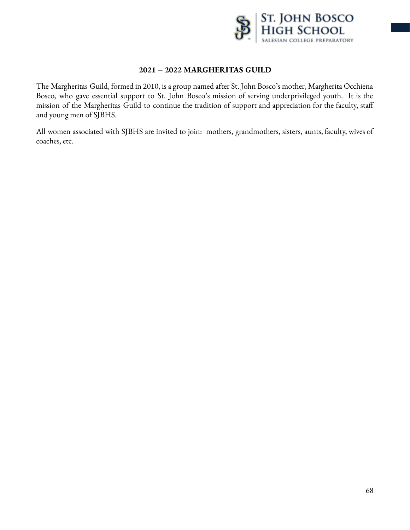

## **2021 – 2022 MARGHERITAS GUILD**

The Margheritas Guild, formed in 2010, is a group named after St. John Bosco's mother, Margherita Occhiena Bosco, who gave essential support to St. John Bosco's mission of serving underprivileged youth. It is the mission of the Margheritas Guild to continue the tradition of support and appreciation for the faculty, staff and young men of SJBHS.

All women associated with SJBHS are invited to join: mothers, grandmothers, sisters, aunts, faculty, wives of coaches, etc.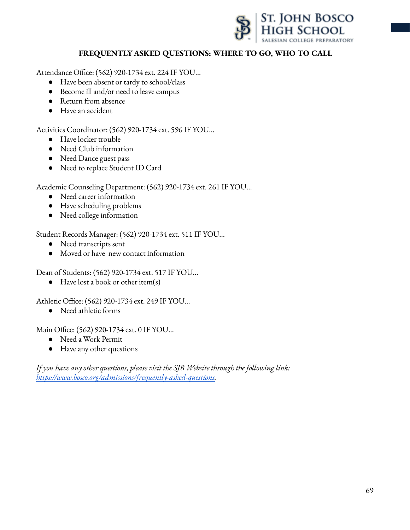

## **FREQUENTLY ASKED QUESTIONS: WHERE TO GO, WHO TO CALL**

Attendance Office: (562) 920-1734 ext. 224 IF YOU...

- Have been absent or tardy to school/class
- Become ill and/or need to leave campus
- Return from absence
- Have an accident

Activities Coordinator: (562) 920-1734 ext. 596 IF YOU...

- Have locker trouble
- Need Club information
- Need Dance guest pass
- Need to replace Student ID Card

Academic Counseling Department: (562) 920-1734 ext. 261 IF YOU…

- Need career information
- Have scheduling problems
- Need college information

Student Records Manager: (562) 920-1734 ext. 511 IF YOU...

- Need transcripts sent
- Moved or have new contact information

Dean of Students: (562) 920-1734 ext. 517 IF YOU…

● Have lost a book or other item(s)

Athletic Office: (562) 920-1734 ext. 249 IF YOU…

● Need athletic forms

Main Office: (562) 920-1734 ext. 0 IF YOU…

- Need a Work Permit
- Have any other questions

*If you have any other questions, please visit the SJB Website through the following link: [https://www.bosco.org/admissions/frequently-asked-questions.](https://www.bosco.org/admissions/frequently-asked-questions)*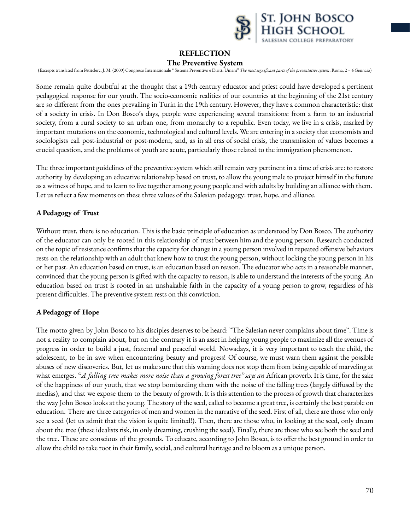

### **REFLECTION**

#### **The Preventive System**

(Excerpts translated from Petitclerc, J. M. (2009) Congresso Internazionale "Sistema Preventivo e Diritti Umani" The most significant parts of the preventative system. Roma, 2 - 6 Gennaio)

Some remain quite doubtful at the thought that a 19th century educator and priest could have developed a pertinent pedagogical response for our youth. The socio-economic realities of our countries at the beginning of the 21st century are so different from the ones prevailing in Turin in the 19th century. However, they have a common characteristic: that of a society in crisis. In Don Bosco's days, people were experiencing several transitions: from a farm to an industrial society, from a rural society to an urban one, from monarchy to a republic. Even today, we live in a crisis, marked by important mutations on the economic, technological and cultural levels. We are entering in a society that economists and sociologists call post-industrial or post-modern, and, as in all eras of social crisis, the transmission of values becomes a crucial question, and the problems of youth are acute, particularly those related to the immigration phenomenon.

The three important guidelines of the preventive system which still remain very pertinent in a time of crisis are: to restore authority by developing an educative relationship based on trust, to allow the young male to project himself in the future as a witness of hope, and to learn to live together among young people and with adults by building an alliance with them. Let us reflect a few moments on these three values of the Salesian pedagogy: trust, hope, and alliance.

#### **A Pedagogy of Trust**

Without trust, there is no education. This is the basic principle of education as understood by Don Bosco. The authority of the educator can only be rooted in this relationship of trust between him and the young person. Research conducted on the topic of resistance confirms that the capacity for change in a young person involved in repeated offensive behaviors rests on the relationship with an adult that knew how to trust the young person, without locking the young person in his or her past. An education based on trust, is an education based on reason. The educator who acts in a reasonable manner, convinced that the young person is gifted with the capacity to reason, is able to understand the interests of the young. An education based on trust is rooted in an unshakable faith in the capacity of a young person to grow, regardless of his present difficulties. The preventive system rests on this conviction.

#### **A Pedagogy of Hope**

The motto given by John Bosco to his disciples deserves to be heard: ``The Salesian never complains about time``. Time is not a reality to complain about, but on the contrary it is an asset in helping young people to maximize all the avenues of progress in order to build a just, fraternal and peaceful world. Nowadays, it is very important to teach the child, the adolescent, to be in awe when encountering beauty and progress! Of course, we must warn them against the possible abuses of new discoveries. But, let us make sure that this warning does not stop them from being capable of marveling at what emerges. "*A falling tree makes more noise than a growing forest tree" says an* African proverb. It is time, for the sake of the happiness of our youth, that we stop bombarding them with the noise of the falling trees (largely diffused by the medias), and that we expose them to the beauty of growth. It is this attention to the process of growth that characterizes the way John Bosco looks at the young. The story of the seed, called to become a great tree, is certainly the best parable on education. There are three categories of men and women in the narrative of the seed. First of all, there are those who only see a seed (let us admit that the vision is quite limited!). Then, there are those who, in looking at the seed, only dream about the tree (these idealists risk, in only dreaming, crushing the seed). Finally, there are those who see both the seed and the tree. These are conscious of the grounds. To educate, according to John Bosco, is to offer the best ground in order to allow the child to take root in their family, social, and cultural heritage and to bloom as a unique person.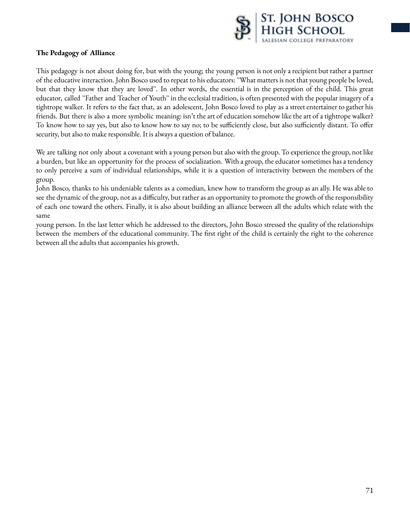

#### **The Pedagogy of Alliance**

This pedagogy is not about doing for, but with the young; the young person is not only a recipient but rather a partner of the educative interaction. John Bosco used to repeat to his educators: ``What matters is not that young people be loved, but that they know that they are loved``. In other words, the essential is in the perception of the child. This great educator, called "Father and Teacher of Youth" in the ecclesial tradition, is often presented with the popular imagery of a tightrope walker. It refers to the fact that, as an adolescent, John Bosco loved to play as a street entertainer to gather his friends. But there is also a more symbolic meaning: isn't the art of education somehow like the art of a tightrope walker? To know how to say yes, but also to know how to say no; to be sufficiently close, but also sufficiently distant. To offer security, but also to make responsible. It is always a question of balance.

We are talking not only about a covenant with a young person but also with the group. To experience the group, not like a burden, but like an opportunity for the process of socialization. With a group, the educator sometimes has a tendency to only perceive a sum of individual relationships, while it is a question of interactivity between the members of the group.

John Bosco, thanks to his undeniable talents as a comedian, knew how to transform the group as an ally. He was able to see the dynamic of the group, not as a difficulty, but rather as an opportunity to promote the growth of the responsibility of each one toward the others. Finally, it is also about building an alliance between all the adults which relate with the same

young person. In the last letter which he addressed to the directors, John Bosco stressed the quality of the relationships between the members of the educational community. The first right of the child is certainly the right to the coherence between all the adults that accompanies his growth.